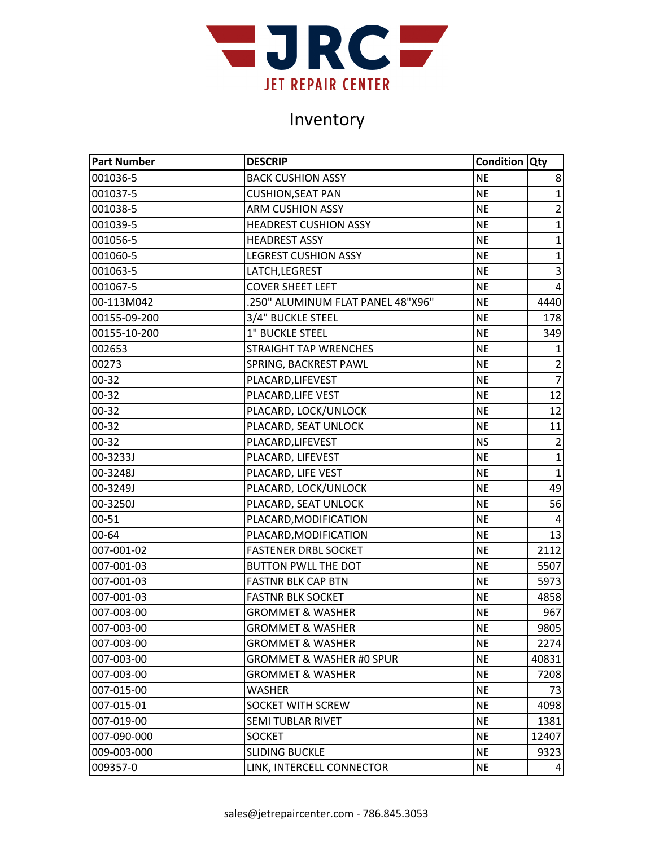

| <b>Part Number</b> | <b>DESCRIP</b>                      | <b>Condition Qty</b> |                         |
|--------------------|-------------------------------------|----------------------|-------------------------|
| 001036-5           | <b>BACK CUSHION ASSY</b>            | <b>NE</b>            | 8                       |
| 001037-5           | <b>CUSHION, SEAT PAN</b>            | <b>NE</b>            | $\mathbf{1}$            |
| 001038-5           | <b>ARM CUSHION ASSY</b>             | <b>NE</b>            | $\overline{2}$          |
| 001039-5           | <b>HEADREST CUSHION ASSY</b>        | <b>NE</b>            | $\mathbf{1}$            |
| 001056-5           | <b>HEADREST ASSY</b>                | <b>NE</b>            | $\mathbf{1}$            |
| 001060-5           | <b>LEGREST CUSHION ASSY</b>         | <b>NE</b>            | $\mathbf 1$             |
| 001063-5           | LATCH, LEGREST                      | <b>NE</b>            | 3                       |
| 001067-5           | <b>COVER SHEET LEFT</b>             | <b>NE</b>            | $\overline{\mathbf{4}}$ |
| 00-113M042         | .250" ALUMINUM FLAT PANEL 48"X96"   | <b>NE</b>            | 4440                    |
| 00155-09-200       | 3/4" BUCKLE STEEL                   | <b>NE</b>            | 178                     |
| 00155-10-200       | 1" BUCKLE STEEL                     | <b>NE</b>            | 349                     |
| 002653             | <b>STRAIGHT TAP WRENCHES</b>        | <b>NE</b>            | 1                       |
| 00273              | SPRING, BACKREST PAWL               | <b>NE</b>            | $\overline{2}$          |
| 00-32              | PLACARD, LIFEVEST                   | <b>NE</b>            | $\overline{7}$          |
| 00-32              | PLACARD, LIFE VEST                  | <b>NE</b>            | 12                      |
| $00 - 32$          | PLACARD, LOCK/UNLOCK                | <b>NE</b>            | 12                      |
| 00-32              | PLACARD, SEAT UNLOCK                | <b>NE</b>            | 11                      |
| $00 - 32$          | PLACARD, LIFEVEST                   | <b>NS</b>            | $\overline{2}$          |
| 00-3233J           | PLACARD, LIFEVEST                   | <b>NE</b>            | $\mathbf{1}$            |
| 00-3248J           | PLACARD, LIFE VEST                  | <b>NE</b>            | $\mathbf 1$             |
| 00-3249J           | PLACARD, LOCK/UNLOCK                | <b>NE</b>            | 49                      |
| 00-3250J           | PLACARD, SEAT UNLOCK                | <b>NE</b>            | 56                      |
| $00 - 51$          | PLACARD, MODIFICATION               | <b>NE</b>            | $\overline{4}$          |
| 00-64              | PLACARD, MODIFICATION               | <b>NE</b>            | 13                      |
| 007-001-02         | <b>FASTENER DRBL SOCKET</b>         | <b>NE</b>            | 2112                    |
| 007-001-03         | <b>BUTTON PWLL THE DOT</b>          | <b>NE</b>            | 5507                    |
| 007-001-03         | <b>FASTNR BLK CAP BTN</b>           | <b>NE</b>            | 5973                    |
| 007-001-03         | <b>FASTNR BLK SOCKET</b>            | <b>NE</b>            | 4858                    |
| 007-003-00         | <b>GROMMET &amp; WASHER</b>         | <b>NE</b>            | 967                     |
| 007-003-00         | <b>GROMMET &amp; WASHER</b>         | <b>NE</b>            | 9805                    |
| 007-003-00         | <b>GROMMET &amp; WASHER</b>         | <b>NE</b>            | 2274                    |
| 007-003-00         | <b>GROMMET &amp; WASHER #0 SPUR</b> | <b>NE</b>            | 40831                   |
| 007-003-00         | <b>GROMMET &amp; WASHER</b>         | <b>NE</b>            | 7208                    |
| 007-015-00         | <b>WASHER</b>                       | <b>NE</b>            | 73                      |
| 007-015-01         | <b>SOCKET WITH SCREW</b>            | <b>NE</b>            | 4098                    |
| 007-019-00         | <b>SEMI TUBLAR RIVET</b>            | <b>NE</b>            | 1381                    |
| 007-090-000        | <b>SOCKET</b>                       | <b>NE</b>            | 12407                   |
| 009-003-000        | <b>SLIDING BUCKLE</b>               | <b>NE</b>            | 9323                    |
| 009357-0           | LINK, INTERCELL CONNECTOR           | <b>NE</b>            | $\overline{4}$          |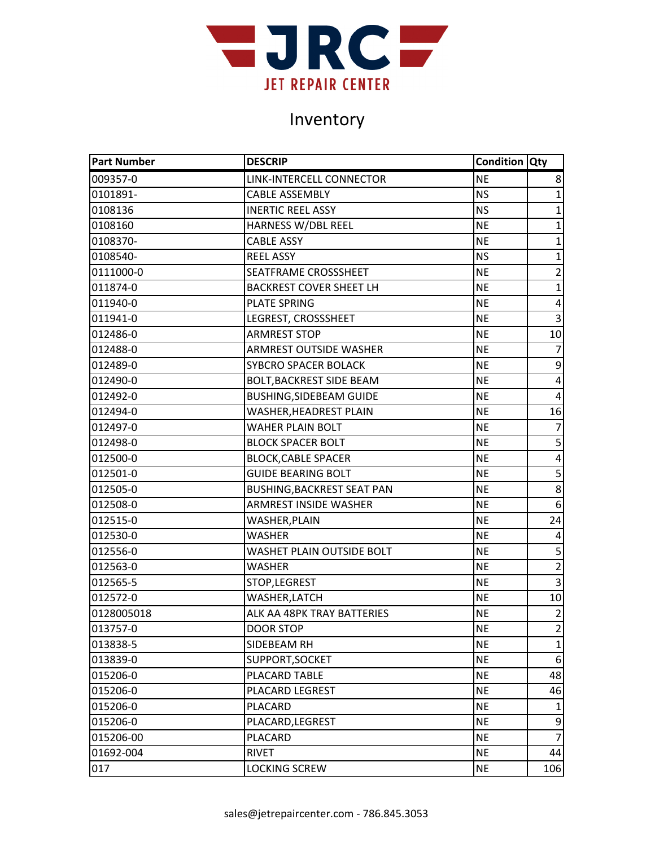

| <b>Part Number</b> | <b>DESCRIP</b>                    | <b>Condition Qty</b> |                |
|--------------------|-----------------------------------|----------------------|----------------|
| 009357-0           | LINK-INTERCELL CONNECTOR          | <b>NE</b>            | 8              |
| 0101891-           | <b>CABLE ASSEMBLY</b>             | <b>NS</b>            | $\mathbf{1}$   |
| 0108136            | <b>INERTIC REEL ASSY</b>          | <b>NS</b>            | $\mathbf{1}$   |
| 0108160            | HARNESS W/DBL REEL                | <b>NE</b>            | $\mathbf{1}$   |
| 0108370-           | <b>CABLE ASSY</b>                 | <b>NE</b>            | $\mathbf{1}$   |
| 0108540-           | <b>REEL ASSY</b>                  | <b>NS</b>            | $\mathbf 1$    |
| 0111000-0          | SEATFRAME CROSSSHEET              | <b>NE</b>            | $\overline{2}$ |
| 011874-0           | <b>BACKREST COVER SHEET LH</b>    | <b>NE</b>            | $\mathbf{1}$   |
| 011940-0           | <b>PLATE SPRING</b>               | <b>NE</b>            | 4              |
| 011941-0           | LEGREST, CROSSSHEET               | <b>NE</b>            | $\overline{3}$ |
| 012486-0           | <b>ARMREST STOP</b>               | <b>NE</b>            | 10             |
| 012488-0           | <b>ARMREST OUTSIDE WASHER</b>     | <b>NE</b>            | $\overline{7}$ |
| 012489-0           | <b>SYBCRO SPACER BOLACK</b>       | <b>NE</b>            | 9              |
| 012490-0           | <b>BOLT, BACKREST SIDE BEAM</b>   | <b>NE</b>            | 4              |
| 012492-0           | <b>BUSHING, SIDEBEAM GUIDE</b>    | <b>NE</b>            | $\overline{4}$ |
| 012494-0           | WASHER, HEADREST PLAIN            | <b>NE</b>            | 16             |
| 012497-0           | WAHER PLAIN BOLT                  | <b>NE</b>            | $\overline{7}$ |
| 012498-0           | <b>BLOCK SPACER BOLT</b>          | <b>NE</b>            | 5              |
| 012500-0           | <b>BLOCK, CABLE SPACER</b>        | <b>NE</b>            | 4              |
| 012501-0           | <b>GUIDE BEARING BOLT</b>         | <b>NE</b>            | $\overline{5}$ |
| 012505-0           | <b>BUSHING, BACKREST SEAT PAN</b> | <b>NE</b>            | 8              |
| 012508-0           | <b>ARMREST INSIDE WASHER</b>      | <b>NE</b>            | 6              |
| 012515-0           | WASHER, PLAIN                     | <b>NE</b>            | 24             |
| 012530-0           | WASHER                            | <b>NE</b>            | 4              |
| 012556-0           | WASHET PLAIN OUTSIDE BOLT         | <b>NE</b>            | 5              |
| 012563-0           | WASHER                            | <b>NE</b>            | $\overline{2}$ |
| 012565-5           | STOP,LEGREST                      | <b>NE</b>            | $\overline{3}$ |
| 012572-0           | WASHER,LATCH                      | <b>NE</b>            | 10             |
| 0128005018         | ALK AA 48PK TRAY BATTERIES        | <b>NE</b>            | $\overline{2}$ |
| 013757-0           | <b>DOOR STOP</b>                  | <b>NE</b>            | $\overline{2}$ |
| 013838-5           | SIDEBEAM RH                       | <b>NE</b>            | $\mathbf{1}$   |
| 013839-0           | SUPPORT, SOCKET                   | <b>NE</b>            | 6              |
| 015206-0           | PLACARD TABLE                     | <b>NE</b>            | 48             |
| 015206-0           | PLACARD LEGREST                   | <b>NE</b>            | 46             |
| 015206-0           | PLACARD                           | <b>NE</b>            | 1              |
| 015206-0           | PLACARD, LEGREST                  | <b>NE</b>            | 9              |
| 015206-00          | <b>PLACARD</b>                    | <b>NE</b>            | $\overline{7}$ |
| 01692-004          | <b>RIVET</b>                      | <b>NE</b>            | 44             |
| 017                | <b>LOCKING SCREW</b>              | <b>NE</b>            | 106            |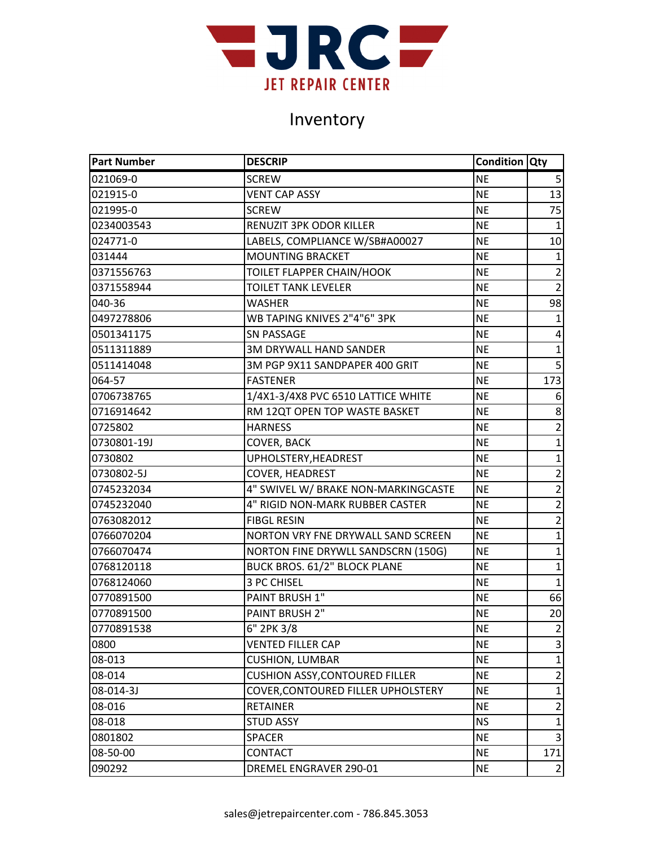

| <b>Part Number</b> | <b>DESCRIP</b>                        | <b>Condition Qty</b> |                         |
|--------------------|---------------------------------------|----------------------|-------------------------|
| 021069-0           | <b>SCREW</b>                          | <b>NE</b>            | 5                       |
| 021915-0           | <b>VENT CAP ASSY</b>                  | <b>NE</b>            | 13                      |
| 021995-0           | <b>SCREW</b>                          | <b>NE</b>            | 75                      |
| 0234003543         | RENUZIT 3PK ODOR KILLER               | <b>NE</b>            | $\mathbf{1}$            |
| 024771-0           | LABELS, COMPLIANCE W/SB#A00027        | <b>NE</b>            | 10                      |
| 031444             | <b>MOUNTING BRACKET</b>               | <b>NE</b>            | $\mathbf{1}$            |
| 0371556763         | TOILET FLAPPER CHAIN/HOOK             | <b>NE</b>            | $\overline{2}$          |
| 0371558944         | <b>TOILET TANK LEVELER</b>            | <b>NE</b>            | $\overline{2}$          |
| 040-36             | <b>WASHER</b>                         | <b>NE</b>            | 98                      |
| 0497278806         | WB TAPING KNIVES 2"4"6" 3PK           | <b>NE</b>            | $\mathbf{1}$            |
| 0501341175         | <b>SN PASSAGE</b>                     | <b>NE</b>            | 4                       |
| 0511311889         | <b>3M DRYWALL HAND SANDER</b>         | <b>NE</b>            | $\mathbf 1$             |
| 0511414048         | 3M PGP 9X11 SANDPAPER 400 GRIT        | <b>NE</b>            | $\overline{5}$          |
| 064-57             | <b>FASTENER</b>                       | <b>NE</b>            | 173                     |
| 0706738765         | 1/4X1-3/4X8 PVC 6510 LATTICE WHITE    | <b>NE</b>            | 6                       |
| 0716914642         | RM 12QT OPEN TOP WASTE BASKET         | <b>NE</b>            | 8                       |
| 0725802            | <b>HARNESS</b>                        | <b>NE</b>            | $\overline{2}$          |
| 0730801-19J        | <b>COVER, BACK</b>                    | <b>NE</b>            | $\mathbf{1}$            |
| 0730802            | UPHOLSTERY, HEADREST                  | <b>NE</b>            | $\mathbf{1}$            |
| 0730802-5J         | COVER, HEADREST                       | <b>NE</b>            | $\overline{2}$          |
| 0745232034         | 4" SWIVEL W/ BRAKE NON-MARKINGCASTE   | <b>NE</b>            | $\overline{2}$          |
| 0745232040         | 4" RIGID NON-MARK RUBBER CASTER       | <b>NE</b>            | $\overline{2}$          |
| 0763082012         | <b>FIBGL RESIN</b>                    | <b>NE</b>            | $\overline{2}$          |
| 0766070204         | NORTON VRY FNE DRYWALL SAND SCREEN    | <b>NE</b>            | $\mathbf 1$             |
| 0766070474         | NORTON FINE DRYWLL SANDSCRN (150G)    | <b>NE</b>            | $\mathbf{1}$            |
| 0768120118         | BUCK BROS. 61/2" BLOCK PLANE          | <b>NE</b>            | $\mathbf{1}$            |
| 0768124060         | 3 PC CHISEL                           | <b>NE</b>            | $\mathbf{1}$            |
| 0770891500         | PAINT BRUSH 1"                        | <b>NE</b>            | 66                      |
| 0770891500         | PAINT BRUSH 2"                        | <b>NE</b>            | 20                      |
| 0770891538         | 6" 2PK 3/8                            | <b>NE</b>            | $\overline{2}$          |
| 0800               | <b>VENTED FILLER CAP</b>              | <b>NE</b>            | $\overline{\mathbf{3}}$ |
| 08-013             | <b>CUSHION, LUMBAR</b>                | <b>NE</b>            | $\mathbf{1}$            |
| 08-014             | <b>CUSHION ASSY, CONTOURED FILLER</b> | <b>NE</b>            | $\overline{2}$          |
| 08-014-3J          | COVER, CONTOURED FILLER UPHOLSTERY    | <b>NE</b>            | $\mathbf{1}$            |
| 08-016             | <b>RETAINER</b>                       | <b>NE</b>            | $\overline{2}$          |
| 08-018             | <b>STUD ASSY</b>                      | <b>NS</b>            | $\mathbf{1}$            |
| 0801802            | <b>SPACER</b>                         | <b>NE</b>            | $\overline{\mathbf{3}}$ |
| 08-50-00           | <b>CONTACT</b>                        | <b>NE</b>            | 171                     |
| 090292             | DREMEL ENGRAVER 290-01                | <b>NE</b>            | $\overline{2}$          |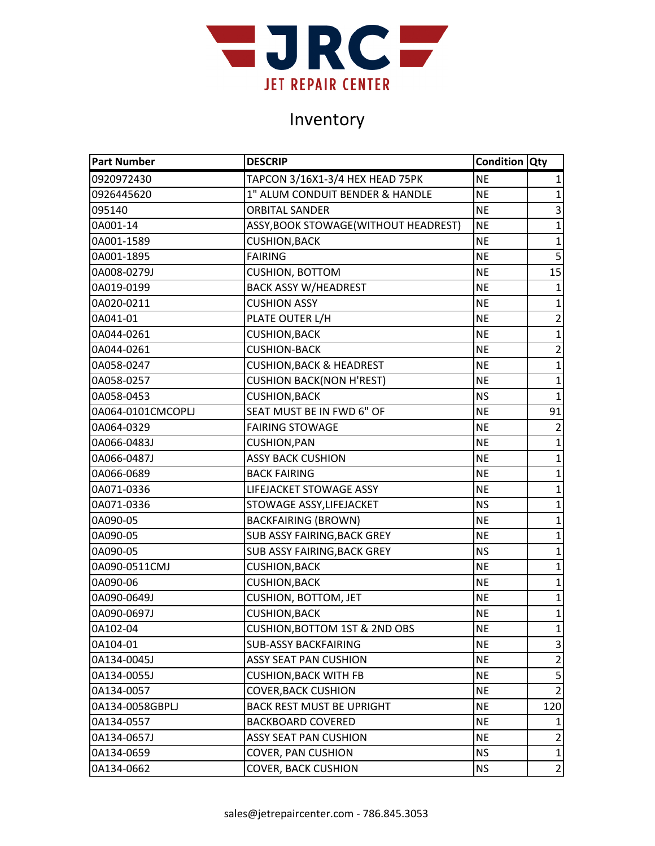

| <b>Part Number</b> | <b>DESCRIP</b>                           | <b>Condition Qty</b> |                |
|--------------------|------------------------------------------|----------------------|----------------|
| 0920972430         | TAPCON 3/16X1-3/4 HEX HEAD 75PK          | <b>NE</b>            | 1              |
| 0926445620         | 1" ALUM CONDUIT BENDER & HANDLE          | <b>NE</b>            | 1              |
| 095140             | <b>ORBITAL SANDER</b>                    | <b>NE</b>            | 3              |
| 0A001-14           | ASSY, BOOK STOWAGE (WITHOUT HEADREST)    | <b>NE</b>            | 1              |
| 0A001-1589         | <b>CUSHION, BACK</b>                     | <b>NE</b>            | $\mathbf{1}$   |
| 0A001-1895         | <b>FAIRING</b>                           | <b>NE</b>            | 5              |
| 0A008-0279J        | <b>CUSHION, BOTTOM</b>                   | <b>NE</b>            | 15             |
| 0A019-0199         | <b>BACK ASSY W/HEADREST</b>              | <b>NE</b>            | $\mathbf{1}$   |
| 0A020-0211         | <b>CUSHION ASSY</b>                      | <b>NE</b>            | 1              |
| 0A041-01           | PLATE OUTER L/H                          | <b>NE</b>            | $\overline{2}$ |
| 0A044-0261         | <b>CUSHION, BACK</b>                     | <b>NE</b>            | $\mathbf{1}$   |
| 0A044-0261         | <b>CUSHION-BACK</b>                      | <b>NE</b>            | $\mathbf 2$    |
| 0A058-0247         | <b>CUSHION, BACK &amp; HEADREST</b>      | <b>NE</b>            | $\mathbf{1}$   |
| 0A058-0257         | <b>CUSHION BACK(NON H'REST)</b>          | <b>NE</b>            | $\overline{1}$ |
| 0A058-0453         | <b>CUSHION, BACK</b>                     | <b>NS</b>            | $\mathbf{1}$   |
| 0A064-0101CMCOPLJ  | SEAT MUST BE IN FWD 6" OF                | <b>NE</b>            | 91             |
| 0A064-0329         | <b>FAIRING STOWAGE</b>                   | <b>NE</b>            | $\overline{2}$ |
| 0A066-0483J        | <b>CUSHION, PAN</b>                      | <b>NE</b>            | $\mathbf{1}$   |
| 0A066-0487J        | <b>ASSY BACK CUSHION</b>                 | <b>NE</b>            | $\mathbf{1}$   |
| 0A066-0689         | <b>BACK FAIRING</b>                      | <b>NE</b>            | $\mathbf{1}$   |
| 0A071-0336         | LIFEJACKET STOWAGE ASSY                  | <b>NE</b>            | 1              |
| 0A071-0336         | STOWAGE ASSY, LIFEJACKET                 | <b>NS</b>            | $\mathbf{1}$   |
| 0A090-05           | <b>BACKFAIRING (BROWN)</b>               | <b>NE</b>            | $\mathbf 1$    |
| 0A090-05           | SUB ASSY FAIRING, BACK GREY              | <b>NE</b>            | 1              |
| 0A090-05           | SUB ASSY FAIRING, BACK GREY              | <b>NS</b>            | $\mathbf{1}$   |
| 0A090-0511CMJ      | <b>CUSHION, BACK</b>                     | <b>NE</b>            | 1              |
| 0A090-06           | <b>CUSHION, BACK</b>                     | <b>NE</b>            | $\mathbf{1}$   |
| 0A090-0649J        | <b>CUSHION, BOTTOM, JET</b>              | <b>NE</b>            | $\mathbf{1}$   |
| 0A090-0697J        | <b>CUSHION, BACK</b>                     | <b>NE</b>            | $\mathbf{1}$   |
| 0A102-04           | <b>CUSHION, BOTTOM 1ST &amp; 2ND OBS</b> | <b>NE</b>            | $\mathbf 1$    |
| 0A104-01           | <b>SUB-ASSY BACKFAIRING</b>              | <b>NE</b>            | 3              |
| 0A134-0045J        | <b>ASSY SEAT PAN CUSHION</b>             | <b>NE</b>            | $\overline{2}$ |
| 0A134-0055J        | <b>CUSHION, BACK WITH FB</b>             | <b>NE</b>            | 5              |
| 0A134-0057         | <b>COVER, BACK CUSHION</b>               | <b>NE</b>            | $\overline{2}$ |
| 0A134-0058GBPLJ    | <b>BACK REST MUST BE UPRIGHT</b>         | <b>NE</b>            | 120            |
| 0A134-0557         | <b>BACKBOARD COVERED</b>                 | <b>NE</b>            | 1              |
| 0A134-0657J        | <b>ASSY SEAT PAN CUSHION</b>             | <b>NE</b>            | $\overline{2}$ |
| 0A134-0659         | <b>COVER, PAN CUSHION</b>                | <b>NS</b>            | $\mathbf{1}$   |
| 0A134-0662         | <b>COVER, BACK CUSHION</b>               | <b>NS</b>            | $\overline{2}$ |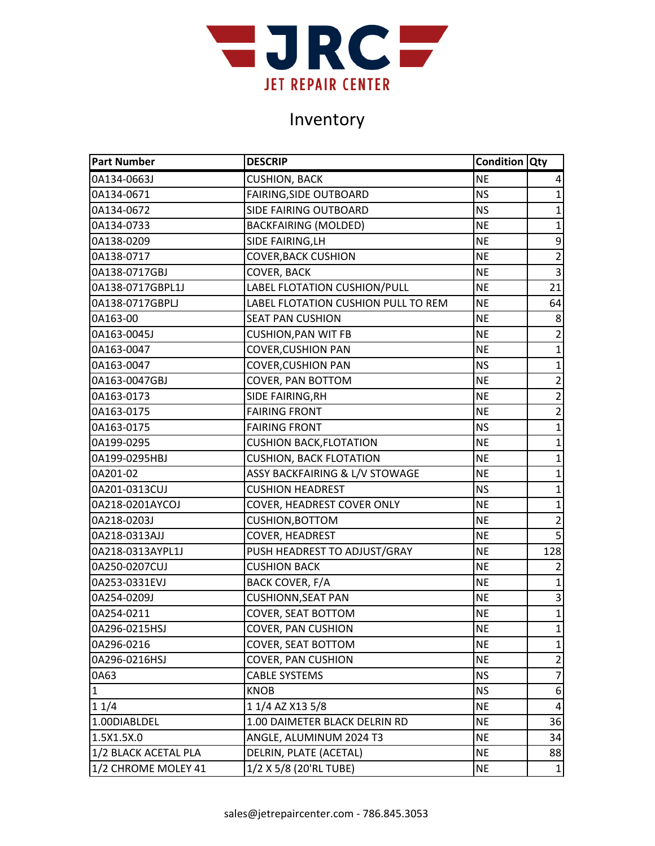

| <b>Part Number</b>   | <b>DESCRIP</b>                      | <b>Condition Qty</b> |                |
|----------------------|-------------------------------------|----------------------|----------------|
| 0A134-0663J          | <b>CUSHION, BACK</b>                | <b>NE</b>            | 4              |
| 0A134-0671           | FAIRING, SIDE OUTBOARD              | <b>NS</b>            | $\mathbf{1}$   |
| 0A134-0672           | SIDE FAIRING OUTBOARD               | <b>NS</b>            | 1              |
| 0A134-0733           | <b>BACKFAIRING (MOLDED)</b>         | <b>NE</b>            | $\mathbf 1$    |
| 0A138-0209           | SIDE FAIRING, LH                    | <b>NE</b>            | 9              |
| 0A138-0717           | <b>COVER, BACK CUSHION</b>          | <b>NE</b>            | $\overline{2}$ |
| 0A138-0717GBJ        | <b>COVER, BACK</b>                  | <b>NE</b>            | $\overline{3}$ |
| 0A138-0717GBPL1J     | LABEL FLOTATION CUSHION/PULL        | <b>NE</b>            | 21             |
| 0A138-0717GBPLJ      | LABEL FLOTATION CUSHION PULL TO REM | <b>NE</b>            | 64             |
| 0A163-00             | <b>SEAT PAN CUSHION</b>             | <b>NE</b>            | 8              |
| 0A163-0045J          | <b>CUSHION, PAN WIT FB</b>          | <b>NE</b>            | $\overline{2}$ |
| 0A163-0047           | <b>COVER, CUSHION PAN</b>           | <b>NE</b>            | $\mathbf{1}$   |
| 0A163-0047           | <b>COVER, CUSHION PAN</b>           | <b>NS</b>            | $\mathbf{1}$   |
| 0A163-0047GBJ        | <b>COVER, PAN BOTTOM</b>            | <b>NE</b>            | $\overline{2}$ |
| 0A163-0173           | SIDE FAIRING, RH                    | <b>NE</b>            | $\overline{2}$ |
| 0A163-0175           | <b>FAIRING FRONT</b>                | <b>NE</b>            | $\overline{2}$ |
| 0A163-0175           | <b>FAIRING FRONT</b>                | <b>NS</b>            | $\mathbf{1}$   |
| 0A199-0295           | <b>CUSHION BACK, FLOTATION</b>      | <b>NE</b>            | $\mathbf{1}$   |
| 0A199-0295HBJ        | <b>CUSHION, BACK FLOTATION</b>      | <b>NE</b>            | $\mathbf 1$    |
| 0A201-02             | ASSY BACKFAIRING & L/V STOWAGE      | <b>NE</b>            | $\mathbf{1}$   |
| 0A201-0313CUJ        | <b>CUSHION HEADREST</b>             | <b>NS</b>            | $\mathbf{1}$   |
| 0A218-0201AYCOJ      | COVER, HEADREST COVER ONLY          | <b>NE</b>            | $\mathbf{1}$   |
| 0A218-0203J          | <b>CUSHION, BOTTOM</b>              | <b>NE</b>            | $\overline{2}$ |
| 0A218-0313AJJ        | COVER, HEADREST                     | <b>NE</b>            | 5              |
| 0A218-0313AYPL1J     | PUSH HEADREST TO ADJUST/GRAY        | <b>NE</b>            | 128            |
| 0A250-0207CUJ        | <b>CUSHION BACK</b>                 | <b>NE</b>            | $\overline{2}$ |
| 0A253-0331EVJ        | BACK COVER, F/A                     | <b>NE</b>            | $\mathbf{1}$   |
| 0A254-0209J          | <b>CUSHIONN, SEAT PAN</b>           | <b>NE</b>            | 3              |
| 0A254-0211           | COVER, SEAT BOTTOM                  | <b>NE</b>            | $\mathbf{1}$   |
| 0A296-0215HSJ        | <b>COVER, PAN CUSHION</b>           | <b>NE</b>            | $\mathbf{1}$   |
| 0A296-0216           | COVER, SEAT BOTTOM                  | <b>NE</b>            | $\mathbf{1}$   |
| 0A296-0216HSJ        | <b>COVER, PAN CUSHION</b>           | <b>NE</b>            | $\overline{2}$ |
| 0A63                 | <b>CABLE SYSTEMS</b>                | <b>NS</b>            | $\overline{7}$ |
| $\mathbf{1}$         | <b>KNOB</b>                         | <b>NS</b>            | 6              |
| 11/4                 | 1 1/4 AZ X13 5/8                    | <b>NE</b>            | 4              |
| 1.00DIABLDEL         | 1.00 DAIMETER BLACK DELRIN RD       | <b>NE</b>            | 36             |
| 1.5X1.5X.0           | ANGLE, ALUMINUM 2024 T3             | <b>NE</b>            | 34             |
| 1/2 BLACK ACETAL PLA | DELRIN, PLATE (ACETAL)              | <b>NE</b>            | 88             |
| 1/2 CHROME MOLEY 41  | 1/2 X 5/8 (20'RL TUBE)              | <b>NE</b>            | $\mathbf{1}$   |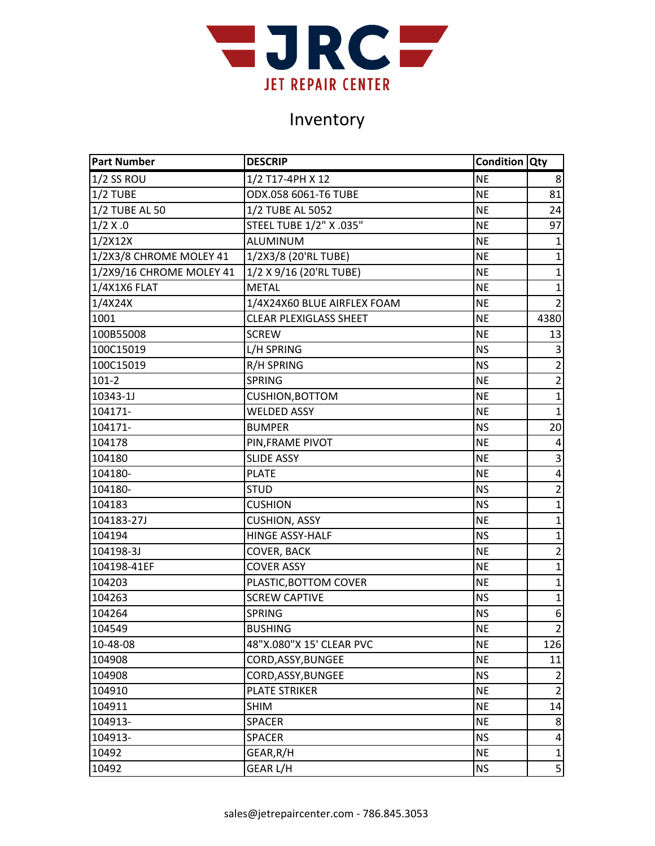

| <b>Part Number</b>       | <b>DESCRIP</b>                | Condition Qty |                |
|--------------------------|-------------------------------|---------------|----------------|
| $1/2$ SS ROU             | 1/2 T17-4PH X 12              | <b>NE</b>     | 8              |
| $1/2$ TUBE               | ODX.058 6061-T6 TUBE          | <b>NE</b>     | 81             |
| 1/2 TUBE AL 50           | 1/2 TUBE AL 5052              | <b>NE</b>     | 24             |
| 1/2 X.0                  | STEEL TUBE 1/2" X .035"       | <b>NE</b>     | 97             |
| 1/2X12X                  | ALUMINUM                      | <b>NE</b>     | $\mathbf{1}$   |
| 1/2X3/8 CHROME MOLEY 41  | 1/2X3/8 (20'RL TUBE)          | <b>NE</b>     | $\mathbf{1}$   |
| 1/2X9/16 CHROME MOLEY 41 | 1/2 X 9/16 (20'RL TUBE)       | <b>NE</b>     | 1              |
| 1/4X1X6 FLAT             | <b>METAL</b>                  | <b>NE</b>     | $\mathbf{1}$   |
| 1/4X24X                  | 1/4X24X60 BLUE AIRFLEX FOAM   | <b>NE</b>     | $\overline{2}$ |
| 1001                     | <b>CLEAR PLEXIGLASS SHEET</b> | <b>NE</b>     | 4380           |
| 100B55008                | <b>SCREW</b>                  | <b>NE</b>     | 13             |
| 100C15019                | L/H SPRING                    | <b>NS</b>     | 3              |
| 100C15019                | <b>R/H SPRING</b>             | <b>NS</b>     | $\overline{2}$ |
| $101 - 2$                | <b>SPRING</b>                 | <b>NE</b>     | $\overline{2}$ |
| 10343-1J                 | <b>CUSHION, BOTTOM</b>        | <b>NE</b>     | $\mathbf 1$    |
| 104171-                  | <b>WELDED ASSY</b>            | <b>NE</b>     | $\mathbf{1}$   |
| 104171-                  | <b>BUMPER</b>                 | <b>NS</b>     | 20             |
| 104178                   | PIN, FRAME PIVOT              | <b>NE</b>     | 4              |
| 104180                   | <b>SLIDE ASSY</b>             | <b>NE</b>     | 3              |
| 104180-                  | <b>PLATE</b>                  | <b>NE</b>     | 4              |
| 104180-                  | <b>STUD</b>                   | <b>NS</b>     | $\overline{2}$ |
| 104183                   | <b>CUSHION</b>                | <b>NS</b>     | $\mathbf 1$    |
| 104183-27J               | <b>CUSHION, ASSY</b>          | <b>NE</b>     | $\mathbf{1}$   |
| 104194                   | <b>HINGE ASSY-HALF</b>        | <b>NS</b>     | $\mathbf 1$    |
| 104198-3J                | <b>COVER, BACK</b>            | <b>NE</b>     | $\overline{2}$ |
| 104198-41EF              | <b>COVER ASSY</b>             | <b>NE</b>     | $\mathbf{1}$   |
| 104203                   | PLASTIC, BOTTOM COVER         | <b>NE</b>     | $\mathbf 1$    |
| 104263                   | <b>SCREW CAPTIVE</b>          | <b>NS</b>     | $\mathbf{1}$   |
| 104264                   | <b>SPRING</b>                 | <b>NS</b>     | 6              |
| 104549                   | <b>BUSHING</b>                | <b>NE</b>     | $\overline{2}$ |
| 10-48-08                 | 48"X.080"X 15' CLEAR PVC      | <b>NE</b>     | 126            |
| 104908                   | CORD, ASSY, BUNGEE            | <b>NE</b>     | 11             |
| 104908                   | CORD, ASSY, BUNGEE            | <b>NS</b>     | 2              |
| 104910                   | <b>PLATE STRIKER</b>          | <b>NE</b>     | $\overline{2}$ |
| 104911                   | <b>SHIM</b>                   | <b>NE</b>     | 14             |
| 104913-                  | <b>SPACER</b>                 | <b>NE</b>     | 8              |
| 104913-                  | <b>SPACER</b>                 | <b>NS</b>     | 4              |
| 10492                    | GEAR, R/H                     | <b>NE</b>     | 1              |
| 10492                    | <b>GEAR L/H</b>               | <b>NS</b>     | 5              |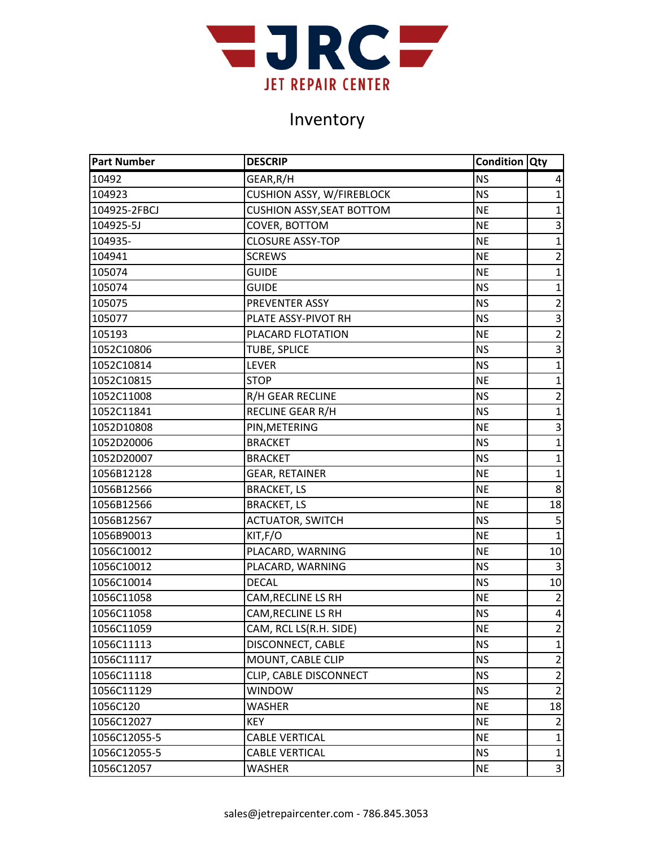

| <b>Part Number</b> | <b>DESCRIP</b>                   | <b>Condition Qty</b> |                         |
|--------------------|----------------------------------|----------------------|-------------------------|
| 10492              | GEAR, R/H                        | <b>NS</b>            | 4                       |
| 104923             | <b>CUSHION ASSY, W/FIREBLOCK</b> | <b>NS</b>            | $\mathbf{1}$            |
| 104925-2FBCJ       | <b>CUSHION ASSY, SEAT BOTTOM</b> | <b>NE</b>            | $\mathbf{1}$            |
| 104925-5J          | COVER, BOTTOM                    | <b>NE</b>            | 3                       |
| 104935-            | <b>CLOSURE ASSY-TOP</b>          | <b>NE</b>            | $\mathbf{1}$            |
| 104941             | <b>SCREWS</b>                    | <b>NE</b>            | $\overline{2}$          |
| 105074             | <b>GUIDE</b>                     | <b>NE</b>            | $\mathbf{1}$            |
| 105074             | <b>GUIDE</b>                     | <b>NS</b>            | $\mathbf{1}$            |
| 105075             | PREVENTER ASSY                   | <b>NS</b>            | $\overline{2}$          |
| 105077             | PLATE ASSY-PIVOT RH              | <b>NS</b>            | $\overline{3}$          |
| 105193             | PLACARD FLOTATION                | <b>NE</b>            | $\overline{2}$          |
| 1052C10806         | <b>TUBE, SPLICE</b>              | <b>NS</b>            | 3                       |
| 1052C10814         | <b>LEVER</b>                     | <b>NS</b>            | $\mathbf{1}$            |
| 1052C10815         | <b>STOP</b>                      | <b>NE</b>            | 1                       |
| 1052C11008         | R/H GEAR RECLINE                 | <b>NS</b>            | $\overline{2}$          |
| 1052C11841         | RECLINE GEAR R/H                 | <b>NS</b>            | $\mathbf{1}$            |
| 1052D10808         | PIN, METERING                    | <b>NE</b>            | 3                       |
| 1052D20006         | <b>BRACKET</b>                   | <b>NS</b>            | $\mathbf{1}$            |
| 1052D20007         | <b>BRACKET</b>                   | <b>NS</b>            | $\mathbf 1$             |
| 1056B12128         | <b>GEAR, RETAINER</b>            | <b>NE</b>            | $\mathbf{1}$            |
| 1056B12566         | <b>BRACKET, LS</b>               | <b>NE</b>            | 8                       |
| 1056B12566         | <b>BRACKET, LS</b>               | <b>NE</b>            | 18                      |
| 1056B12567         | <b>ACTUATOR, SWITCH</b>          | <b>NS</b>            | 5                       |
| 1056B90013         | KIT,F/O                          | <b>NE</b>            | $\mathbf{1}$            |
| 1056C10012         | PLACARD, WARNING                 | <b>NE</b>            | 10                      |
| 1056C10012         | PLACARD, WARNING                 | <b>NS</b>            | 3                       |
| 1056C10014         | <b>DECAL</b>                     | <b>NS</b>            | 10                      |
| 1056C11058         | <b>CAM, RECLINE LS RH</b>        | <b>NE</b>            | $\overline{2}$          |
| 1056C11058         | CAM, RECLINE LS RH               | <b>NS</b>            | 4                       |
| 1056C11059         | CAM, RCL LS(R.H. SIDE)           | <b>NE</b>            | $\overline{2}$          |
| 1056C11113         | DISCONNECT, CABLE                | <b>NS</b>            | $\mathbf{1}$            |
| 1056C11117         | MOUNT, CABLE CLIP                | <b>NS</b>            | $\overline{2}$          |
| 1056C11118         | CLIP, CABLE DISCONNECT           | <b>NS</b>            | $\overline{2}$          |
| 1056C11129         | <b>WINDOW</b>                    | <b>NS</b>            | $\overline{2}$          |
| 1056C120           | <b>WASHER</b>                    | <b>NE</b>            | 18                      |
| 1056C12027         | KEY                              | <b>NE</b>            | $\overline{2}$          |
| 1056C12055-5       | <b>CABLE VERTICAL</b>            | <b>NE</b>            | $\mathbf{1}$            |
| 1056C12055-5       | <b>CABLE VERTICAL</b>            | <b>NS</b>            | $\mathbf{1}$            |
| 1056C12057         | <b>WASHER</b>                    | <b>NE</b>            | $\overline{\mathbf{3}}$ |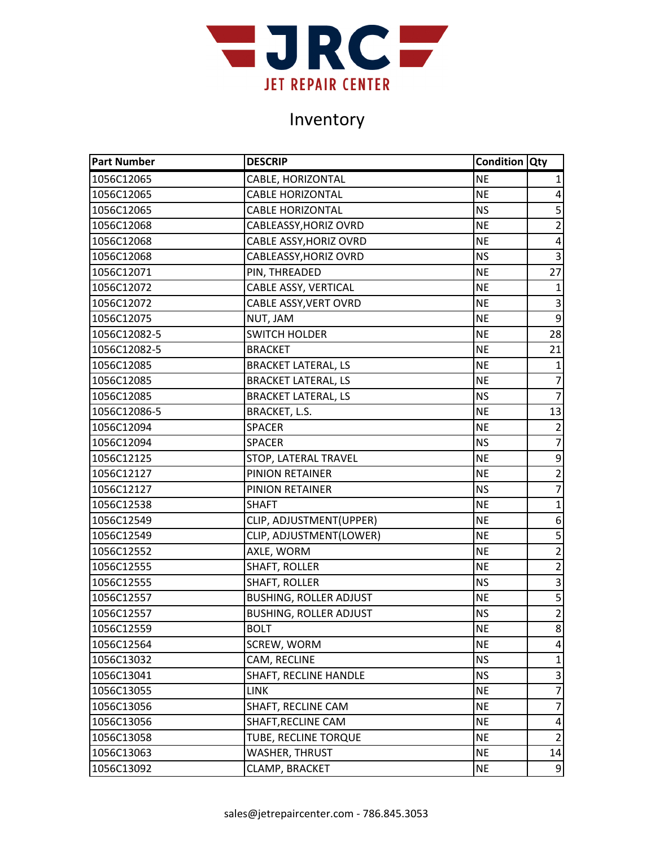

| <b>Part Number</b> | <b>DESCRIP</b>                | <b>Condition Qty</b> |                  |
|--------------------|-------------------------------|----------------------|------------------|
| 1056C12065         | CABLE, HORIZONTAL             | <b>NE</b>            | 1                |
| 1056C12065         | <b>CABLE HORIZONTAL</b>       | <b>NE</b>            | 4                |
| 1056C12065         | <b>CABLE HORIZONTAL</b>       | <b>NS</b>            | 5                |
| 1056C12068         | CABLEASSY, HORIZ OVRD         | <b>NE</b>            | $\overline{2}$   |
| 1056C12068         | CABLE ASSY, HORIZ OVRD        | <b>NE</b>            | 4                |
| 1056C12068         | CABLEASSY, HORIZ OVRD         | <b>NS</b>            | $\overline{3}$   |
| 1056C12071         | PIN, THREADED                 | <b>NE</b>            | $\overline{27}$  |
| 1056C12072         | CABLE ASSY, VERTICAL          | <b>NE</b>            | $\mathbf{1}$     |
| 1056C12072         | CABLE ASSY, VERT OVRD         | <b>NE</b>            | 3                |
| 1056C12075         | NUT, JAM                      | <b>NE</b>            | $\overline{9}$   |
| 1056C12082-5       | <b>SWITCH HOLDER</b>          | <b>NE</b>            | 28               |
| 1056C12082-5       | <b>BRACKET</b>                | <b>NE</b>            | 21               |
| 1056C12085         | <b>BRACKET LATERAL, LS</b>    | <b>NE</b>            | $\mathbf{1}$     |
| 1056C12085         | <b>BRACKET LATERAL, LS</b>    | <b>NE</b>            | $\overline{7}$   |
| 1056C12085         | <b>BRACKET LATERAL, LS</b>    | <b>NS</b>            | $\overline{7}$   |
| 1056C12086-5       | BRACKET, L.S.                 | <b>NE</b>            | 13               |
| 1056C12094         | <b>SPACER</b>                 | <b>NE</b>            | $\overline{2}$   |
| 1056C12094         | <b>SPACER</b>                 | <b>NS</b>            | $\overline{7}$   |
| 1056C12125         | STOP, LATERAL TRAVEL          | <b>NE</b>            | 9                |
| 1056C12127         | PINION RETAINER               | <b>NE</b>            | $\overline{2}$   |
| 1056C12127         | PINION RETAINER               | <b>NS</b>            | $\overline{7}$   |
| 1056C12538         | <b>SHAFT</b>                  | <b>NE</b>            | $\mathbf{1}$     |
| 1056C12549         | CLIP, ADJUSTMENT(UPPER)       | <b>NE</b>            | 6                |
| 1056C12549         | CLIP, ADJUSTMENT(LOWER)       | <b>NE</b>            | 5                |
| 1056C12552         | AXLE, WORM                    | <b>NE</b>            | $\overline{2}$   |
| 1056C12555         | <b>SHAFT, ROLLER</b>          | <b>NE</b>            | $\overline{2}$   |
| 1056C12555         | SHAFT, ROLLER                 | <b>NS</b>            | $\mathsf{3}$     |
| 1056C12557         | <b>BUSHING, ROLLER ADJUST</b> | <b>NE</b>            | $\overline{5}$   |
| 1056C12557         | <b>BUSHING, ROLLER ADJUST</b> | <b>NS</b>            | $\overline{2}$   |
| 1056C12559         | <b>BOLT</b>                   | <b>NE</b>            | 8                |
| 1056C12564         | SCREW, WORM                   | <b>NE</b>            | 4                |
| 1056C13032         | CAM, RECLINE                  | <b>NS</b>            | $\mathbf{1}$     |
| 1056C13041         | SHAFT, RECLINE HANDLE         | <b>NS</b>            | 3                |
| 1056C13055         | <b>LINK</b>                   | <b>NE</b>            | $\overline{7}$   |
| 1056C13056         | SHAFT, RECLINE CAM            | <b>NE</b>            | $\overline{7}$   |
| 1056C13056         | SHAFT, RECLINE CAM            | <b>NE</b>            | 4                |
| 1056C13058         | TUBE, RECLINE TORQUE          | <b>NE</b>            | $\overline{2}$   |
| 1056C13063         | <b>WASHER, THRUST</b>         | <b>NE</b>            | 14               |
| 1056C13092         | CLAMP, BRACKET                | <b>NE</b>            | $\boldsymbol{9}$ |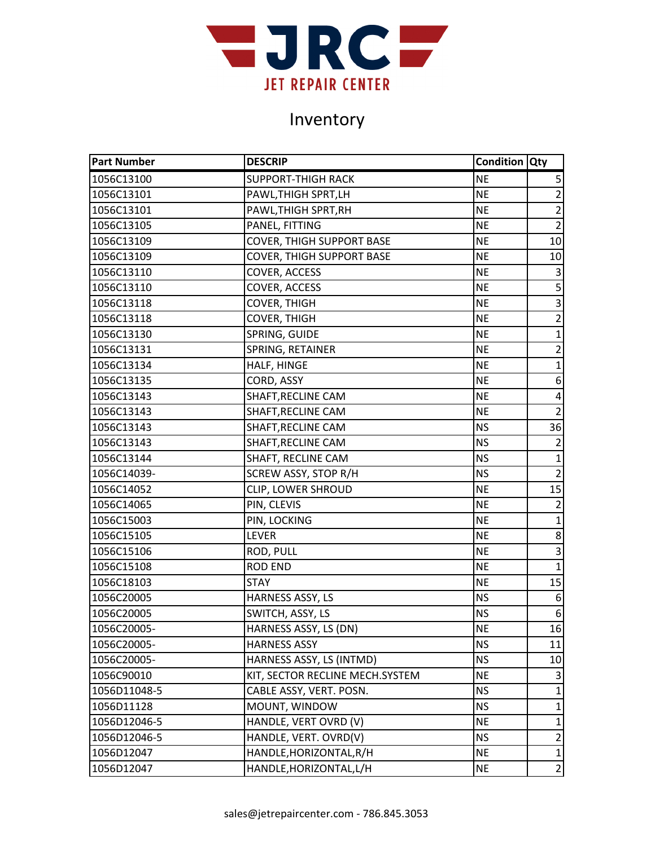

| <b>Part Number</b> | <b>DESCRIP</b>                   | <b>Condition Qty</b> |                |
|--------------------|----------------------------------|----------------------|----------------|
| 1056C13100         | <b>SUPPORT-THIGH RACK</b>        | <b>NE</b>            | 5              |
| 1056C13101         | PAWL, THIGH SPRT, LH             | <b>NE</b>            | $\overline{2}$ |
| 1056C13101         | PAWL, THIGH SPRT, RH             | <b>NE</b>            | $\overline{2}$ |
| 1056C13105         | PANEL, FITTING                   | <b>NE</b>            | $\overline{2}$ |
| 1056C13109         | <b>COVER, THIGH SUPPORT BASE</b> | <b>NE</b>            | 10             |
| 1056C13109         | <b>COVER, THIGH SUPPORT BASE</b> | <b>NE</b>            | 10             |
| 1056C13110         | COVER, ACCESS                    | <b>NE</b>            | 3              |
| 1056C13110         | COVER, ACCESS                    | <b>NE</b>            | 5              |
| 1056C13118         | COVER, THIGH                     | <b>NE</b>            | $\overline{3}$ |
| 1056C13118         | <b>COVER, THIGH</b>              | <b>NE</b>            | $\overline{2}$ |
| 1056C13130         | SPRING, GUIDE                    | <b>NE</b>            | $\mathbf{1}$   |
| 1056C13131         | SPRING, RETAINER                 | <b>NE</b>            | $\mathbf 2$    |
| 1056C13134         | HALF, HINGE                      | <b>NE</b>            | $\mathbf{1}$   |
| 1056C13135         | CORD, ASSY                       | <b>NE</b>            | 6              |
| 1056C13143         | SHAFT, RECLINE CAM               | <b>NE</b>            | $\pmb{4}$      |
| 1056C13143         | SHAFT, RECLINE CAM               | <b>NE</b>            | $\overline{2}$ |
| 1056C13143         | SHAFT, RECLINE CAM               | <b>NS</b>            | 36             |
| 1056C13143         | SHAFT, RECLINE CAM               | <b>NS</b>            | $\overline{2}$ |
| 1056C13144         | SHAFT, RECLINE CAM               | <b>NS</b>            | $\mathbf{1}$   |
| 1056C14039-        | SCREW ASSY, STOP R/H             | <b>NS</b>            | $\overline{2}$ |
| 1056C14052         | CLIP, LOWER SHROUD               | <b>NE</b>            | 15             |
| 1056C14065         | PIN, CLEVIS                      | <b>NE</b>            | $\overline{2}$ |
| 1056C15003         | PIN, LOCKING                     | $\sf NE$             | $\mathbf{1}$   |
| 1056C15105         | <b>LEVER</b>                     | <b>NE</b>            | 8              |
| 1056C15106         | ROD, PULL                        | <b>NE</b>            | $\overline{3}$ |
| 1056C15108         | <b>ROD END</b>                   | <b>NE</b>            | $\mathbf{1}$   |
| 1056C18103         | <b>STAY</b>                      | <b>NE</b>            | 15             |
| 1056C20005         | HARNESS ASSY, LS                 | <b>NS</b>            | 6              |
| 1056C20005         | SWITCH, ASSY, LS                 | <b>NS</b>            | 6              |
| 1056C20005-        | HARNESS ASSY, LS (DN)            | <b>NE</b>            | 16             |
| 1056C20005-        | <b>HARNESS ASSY</b>              | <b>NS</b>            | 11             |
| 1056C20005-        | HARNESS ASSY, LS (INTMD)         | <b>NS</b>            | 10             |
| 1056C90010         | KIT, SECTOR RECLINE MECH.SYSTEM  | <b>NE</b>            | 3              |
| 1056D11048-5       | CABLE ASSY, VERT. POSN.          | <b>NS</b>            | $\mathbf{1}$   |
| 1056D11128         | MOUNT, WINDOW                    | <b>NS</b>            | $\mathbf{1}$   |
| 1056D12046-5       | HANDLE, VERT OVRD (V)            | <b>NE</b>            | 1              |
| 1056D12046-5       | HANDLE, VERT. OVRD(V)            | <b>NS</b>            | $\overline{2}$ |
| 1056D12047         | HANDLE, HORIZONTAL, R/H          | <b>NE</b>            | $\mathbf{1}$   |
| 1056D12047         | HANDLE, HORIZONTAL, L/H          | <b>NE</b>            | $\overline{2}$ |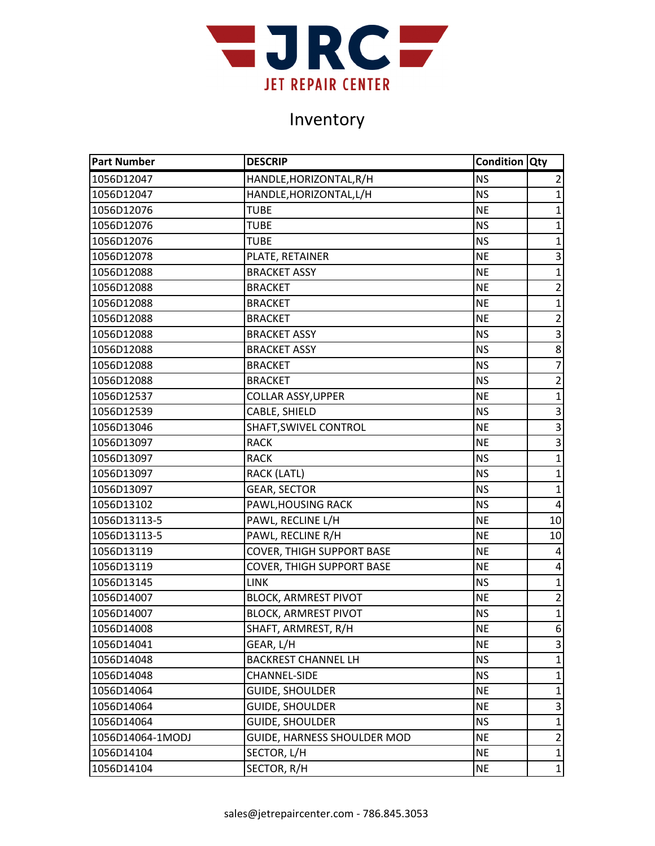

| <b>Part Number</b> | <b>DESCRIP</b>                   | <b>Condition Qty</b> |                           |
|--------------------|----------------------------------|----------------------|---------------------------|
| 1056D12047         | HANDLE, HORIZONTAL, R/H          | <b>NS</b>            | $\overline{2}$            |
| 1056D12047         | HANDLE, HORIZONTAL, L/H          | <b>NS</b>            | $\mathbf{1}$              |
| 1056D12076         | TUBE                             | <b>NE</b>            | $\mathbf{1}$              |
| 1056D12076         | TUBE                             | <b>NS</b>            | $\mathbf 1$               |
| 1056D12076         | <b>TUBE</b>                      | <b>NS</b>            | $\mathbf{1}$              |
| 1056D12078         | PLATE, RETAINER                  | <b>NE</b>            | 3                         |
| 1056D12088         | <b>BRACKET ASSY</b>              | <b>NE</b>            | $\overline{1}$            |
| 1056D12088         | <b>BRACKET</b>                   | <b>NE</b>            | $\overline{2}$            |
| 1056D12088         | <b>BRACKET</b>                   | <b>NE</b>            | $\mathbf{1}$              |
| 1056D12088         | <b>BRACKET</b>                   | <b>NE</b>            | $\overline{2}$            |
| 1056D12088         | <b>BRACKET ASSY</b>              | <b>NS</b>            | $\mathsf 3$               |
| 1056D12088         | <b>BRACKET ASSY</b>              | <b>NS</b>            | 8                         |
| 1056D12088         | <b>BRACKET</b>                   | <b>NS</b>            | $\overline{7}$            |
| 1056D12088         | <b>BRACKET</b>                   | ΝS                   | $\overline{2}$            |
| 1056D12537         | <b>COLLAR ASSY, UPPER</b>        | <b>NE</b>            | $\mathbf{1}$              |
| 1056D12539         | CABLE, SHIELD                    | <b>NS</b>            | $\mathsf 3$               |
| 1056D13046         | SHAFT, SWIVEL CONTROL            | <b>NE</b>            | $\mathsf 3$               |
| 1056D13097         | <b>RACK</b>                      | <b>NE</b>            | $\mathsf 3$               |
| 1056D13097         | <b>RACK</b>                      | <b>NS</b>            | $\overline{1}$            |
| 1056D13097         | RACK (LATL)                      | <b>NS</b>            | $\mathbf{1}$              |
| 1056D13097         | <b>GEAR, SECTOR</b>              | <b>NS</b>            | $\mathbf{1}$              |
| 1056D13102         | PAWL, HOUSING RACK               | <b>NS</b>            | $\sqrt{4}$                |
| 1056D13113-5       | PAWL, RECLINE L/H                | <b>NE</b>            | 10                        |
| 1056D13113-5       | PAWL, RECLINE R/H                | <b>NE</b>            | 10                        |
| 1056D13119         | <b>COVER, THIGH SUPPORT BASE</b> | <b>NE</b>            | 4                         |
| 1056D13119         | <b>COVER, THIGH SUPPORT BASE</b> | <b>NE</b>            | 4                         |
| 1056D13145         | <b>LINK</b>                      | <b>NS</b>            | $\mathbf{1}$              |
| 1056D14007         | <b>BLOCK, ARMREST PIVOT</b>      | <b>NE</b>            | $\overline{2}$            |
| 1056D14007         | <b>BLOCK, ARMREST PIVOT</b>      | <b>NS</b>            | $\mathbf 1$               |
| 1056D14008         | SHAFT, ARMREST, R/H              | <b>NE</b>            | 6 <sup>1</sup>            |
| 1056D14041         | GEAR, L/H                        | <b>NE</b>            | $\ensuremath{\mathsf{3}}$ |
| 1056D14048         | <b>BACKREST CHANNEL LH</b>       | <b>NS</b>            | 1                         |
| 1056D14048         | CHANNEL-SIDE                     | ΝS                   | 1                         |
| 1056D14064         | <b>GUIDE, SHOULDER</b>           | <b>NE</b>            | $\mathbf{1}$              |
| 1056D14064         | <b>GUIDE, SHOULDER</b>           | <b>NE</b>            | 3                         |
| 1056D14064         | <b>GUIDE, SHOULDER</b>           | <b>NS</b>            | $\mathbf{1}$              |
| 1056D14064-1MODJ   | GUIDE, HARNESS SHOULDER MOD      | <b>NE</b>            | $\overline{c}$            |
| 1056D14104         | SECTOR, L/H                      | <b>NE</b>            | $\mathbf{1}$              |
| 1056D14104         | SECTOR, R/H                      | <b>NE</b>            | $\mathbf{1}$              |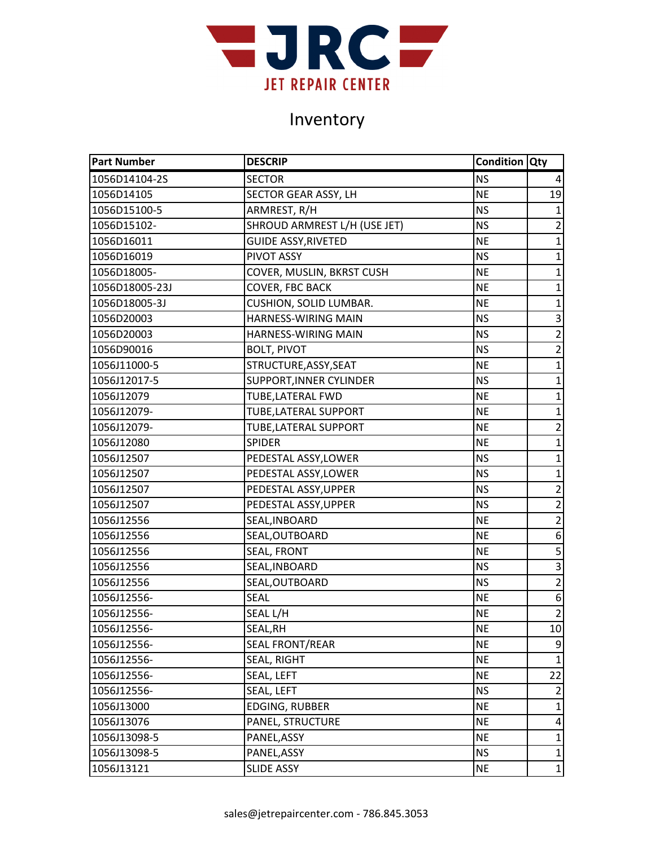

| <b>Part Number</b> | <b>DESCRIP</b>               | <b>Condition Qty</b> |                 |
|--------------------|------------------------------|----------------------|-----------------|
| 1056D14104-2S      | <b>SECTOR</b>                | <b>NS</b>            | 4               |
| 1056D14105         | SECTOR GEAR ASSY, LH         | <b>NE</b>            | 19              |
| 1056D15100-5       | ARMREST, R/H                 | <b>NS</b>            | $\mathbf{1}$    |
| 1056D15102-        | SHROUD ARMREST L/H (USE JET) | <b>NS</b>            | $\overline{2}$  |
| 1056D16011         | <b>GUIDE ASSY, RIVETED</b>   | <b>NE</b>            | $\mathbf{1}$    |
| 1056D16019         | PIVOT ASSY                   | <b>NS</b>            | $\mathbf{1}$    |
| 1056D18005-        | COVER, MUSLIN, BKRST CUSH    | <b>NE</b>            | $\mathbf{1}$    |
| 1056D18005-23J     | <b>COVER, FBC BACK</b>       | <b>NE</b>            | $\mathbf{1}$    |
| 1056D18005-3J      | CUSHION, SOLID LUMBAR.       | <b>NE</b>            | $\mathbf 1$     |
| 1056D20003         | <b>HARNESS-WIRING MAIN</b>   | <b>NS</b>            | 3               |
| 1056D20003         | HARNESS-WIRING MAIN          | <b>NS</b>            | $\overline{2}$  |
| 1056D90016         | <b>BOLT, PIVOT</b>           | <b>NS</b>            | $\overline{2}$  |
| 1056J11000-5       | STRUCTURE, ASSY, SEAT        | <b>NE</b>            | $\mathbf{1}$    |
| 1056J12017-5       | SUPPORT, INNER CYLINDER      | <b>NS</b>            | $\mathbf{1}$    |
| 1056J12079         | TUBE, LATERAL FWD            | <b>NE</b>            | $\mathbf{1}$    |
| 1056J12079-        | TUBE, LATERAL SUPPORT        | <b>NE</b>            | $\mathbf{1}$    |
| 1056J12079-        | TUBE, LATERAL SUPPORT        | <b>NE</b>            | $\overline{2}$  |
| 1056J12080         | <b>SPIDER</b>                | <b>NE</b>            | $\mathbf 1$     |
| 1056J12507         | PEDESTAL ASSY, LOWER         | <b>NS</b>            | $\mathbf{1}$    |
| 1056J12507         | PEDESTAL ASSY, LOWER         | <b>NS</b>            | $\mathbf{1}$    |
| 1056J12507         | PEDESTAL ASSY, UPPER         | <b>NS</b>            | $\overline{2}$  |
| 1056J12507         | PEDESTAL ASSY, UPPER         | <b>NS</b>            | $\overline{2}$  |
| 1056J12556         | SEAL, INBOARD                | <b>NE</b>            | $\overline{2}$  |
| 1056J12556         | SEAL, OUTBOARD               | <b>NE</b>            | 6               |
| 1056J12556         | SEAL, FRONT                  | <b>NE</b>            |                 |
| 1056J12556         | SEAL, INBOARD                | <b>NS</b>            | $\overline{3}$  |
| 1056J12556         | SEAL, OUTBOARD               | <b>NS</b>            | $\overline{2}$  |
| 1056J12556-        | <b>SEAL</b>                  | <b>NE</b>            | 6               |
| 1056J12556-        | SEAL L/H                     | <b>NE</b>            | $\overline{2}$  |
| 1056J12556-        | SEAL.RH                      | <b>NE</b>            | 10 <sup>1</sup> |
| 1056J12556-        | <b>SEAL FRONT/REAR</b>       | <b>NE</b>            | 9               |
| 1056J12556-        | SEAL, RIGHT                  | <b>NE</b>            | $\mathbf{1}$    |
| 1056J12556-        | SEAL, LEFT                   | <b>NE</b>            | 22              |
| 1056J12556-        | SEAL, LEFT                   | <b>NS</b>            | $\overline{2}$  |
| 1056J13000         | EDGING, RUBBER               | <b>NE</b>            | $\mathbf{1}$    |
| 1056J13076         | PANEL, STRUCTURE             | <b>NE</b>            | 4               |
| 1056J13098-5       | PANEL, ASSY                  | <b>NE</b>            | $\mathbf{1}$    |
| 1056J13098-5       | PANEL, ASSY                  | <b>NS</b>            | $\mathbf{1}$    |
| 1056J13121         | <b>SLIDE ASSY</b>            | <b>NE</b>            | $\mathbf{1}$    |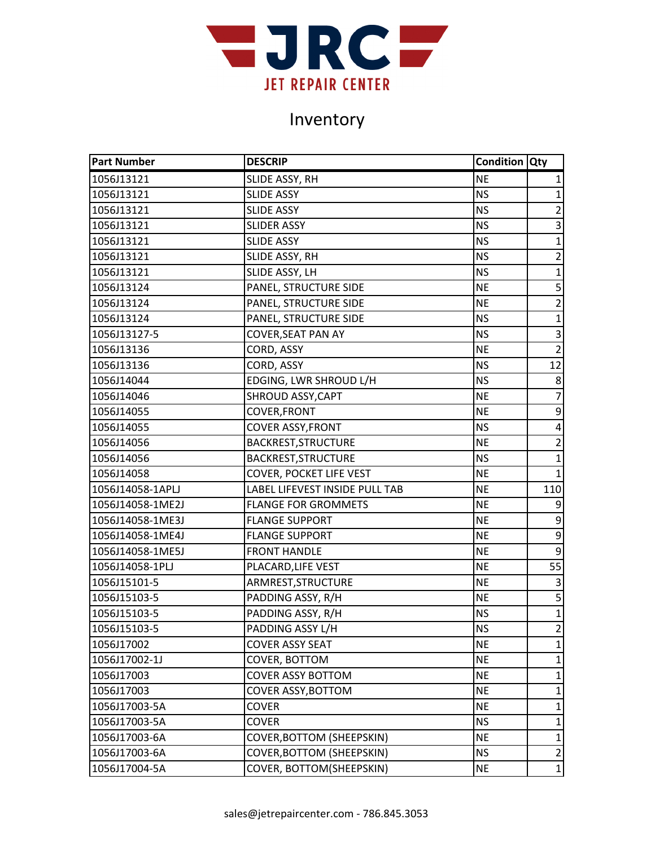

| <b>Part Number</b> | <b>DESCRIP</b>                   | <b>Condition Qty</b> |                 |
|--------------------|----------------------------------|----------------------|-----------------|
| 1056J13121         | SLIDE ASSY, RH                   | <b>NE</b>            | 1               |
| 1056J13121         | <b>SLIDE ASSY</b>                | <b>NS</b>            | $\mathbf{1}$    |
| 1056J13121         | <b>SLIDE ASSY</b>                | <b>NS</b>            | $\overline{2}$  |
| 1056J13121         | <b>SLIDER ASSY</b>               | <b>NS</b>            | 3               |
| 1056J13121         | <b>SLIDE ASSY</b>                | <b>NS</b>            | $\mathbf 1$     |
| 1056J13121         | SLIDE ASSY, RH                   | <b>NS</b>            | $\overline{2}$  |
| 1056J13121         | SLIDE ASSY, LH                   | <b>NS</b>            | $\overline{1}$  |
| 1056J13124         | PANEL, STRUCTURE SIDE            | <b>NE</b>            | 5               |
| 1056J13124         | PANEL, STRUCTURE SIDE            | <b>NE</b>            | $\overline{2}$  |
| 1056J13124         | PANEL, STRUCTURE SIDE            | <b>NS</b>            | $\mathbf 1$     |
| 1056J13127-5       | <b>COVER, SEAT PAN AY</b>        | <b>NS</b>            | 3               |
| 1056J13136         | CORD, ASSY                       | <b>NE</b>            | $\overline{2}$  |
| 1056J13136         | CORD, ASSY                       | <b>NS</b>            | 12              |
| 1056J14044         | EDGING, LWR SHROUD L/H           | <b>NS</b>            | 8               |
| 1056J14046         | SHROUD ASSY, CAPT                | <b>NE</b>            | $\overline{7}$  |
| 1056J14055         | <b>COVER, FRONT</b>              | <b>NE</b>            | 9               |
| 1056J14055         | <b>COVER ASSY, FRONT</b>         | <b>NS</b>            | 4               |
| 1056J14056         | BACKREST, STRUCTURE              | <b>NE</b>            | $\overline{2}$  |
| 1056J14056         | BACKREST, STRUCTURE              | <b>NS</b>            | $\mathbf 1$     |
| 1056J14058         | COVER, POCKET LIFE VEST          | <b>NE</b>            | $\mathbf{1}$    |
| 1056J14058-1APLJ   | LABEL LIFEVEST INSIDE PULL TAB   | <b>NE</b>            | 110             |
| 1056J14058-1ME2J   | <b>FLANGE FOR GROMMETS</b>       | <b>NE</b>            | 9               |
| 1056J14058-1ME3J   | <b>FLANGE SUPPORT</b>            | <b>NE</b>            | 9               |
| 1056J14058-1ME4J   | <b>FLANGE SUPPORT</b>            | <b>NE</b>            | 9               |
| 1056J14058-1ME5J   | <b>FRONT HANDLE</b>              | <b>NE</b>            | 9               |
| 1056J14058-1PLJ    | PLACARD, LIFE VEST               | <b>NE</b>            | $\overline{55}$ |
| 1056J15101-5       | ARMREST, STRUCTURE               | <b>NE</b>            | $\overline{3}$  |
| 1056J15103-5       | PADDING ASSY, R/H                | <b>NE</b>            | $\overline{5}$  |
| 1056J15103-5       | PADDING ASSY, R/H                | <b>NS</b>            | $\mathbf 1$     |
| 1056J15103-5       | PADDING ASSY L/H                 | <b>NS</b>            | $\overline{2}$  |
| 1056J17002         | <b>COVER ASSY SEAT</b>           | <b>NE</b>            | $\mathbf{1}$    |
| 1056J17002-1J      | COVER, BOTTOM                    | <b>NE</b>            | 1               |
| 1056J17003         | <b>COVER ASSY BOTTOM</b>         | <b>NE</b>            | 1               |
| 1056J17003         | <b>COVER ASSY, BOTTOM</b>        | <b>NE</b>            | 1               |
| 1056J17003-5A      | COVER                            | <b>NE</b>            | 1               |
| 1056J17003-5A      | <b>COVER</b>                     | <b>NS</b>            | $\mathbf{1}$    |
| 1056J17003-6A      | <b>COVER, BOTTOM (SHEEPSKIN)</b> | <b>NE</b>            | $\mathbf{1}$    |
| 1056J17003-6A      | <b>COVER, BOTTOM (SHEEPSKIN)</b> | <b>NS</b>            | $\overline{2}$  |
| 1056J17004-5A      | COVER, BOTTOM(SHEEPSKIN)         | <b>NE</b>            | $\mathbf{1}$    |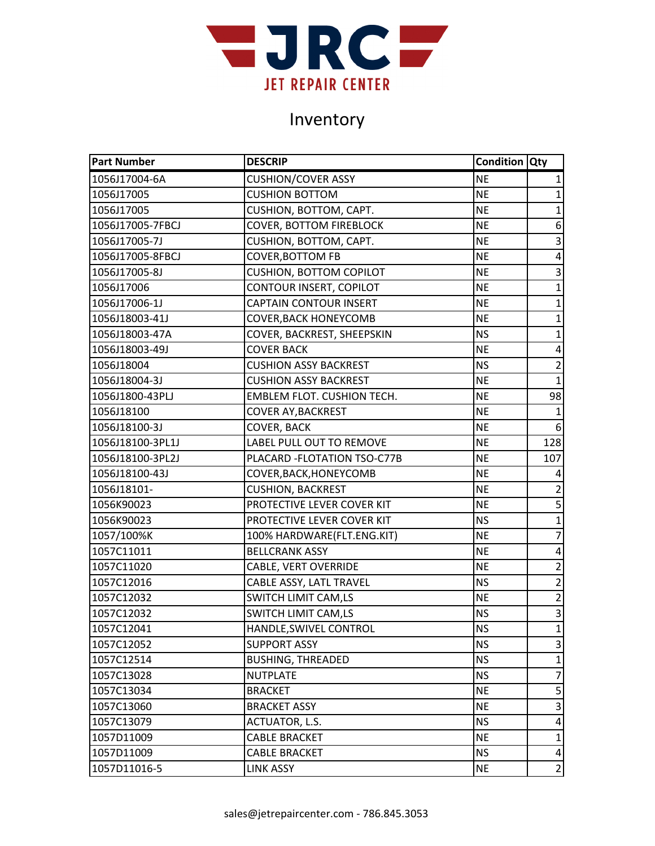

| <b>Part Number</b> | <b>DESCRIP</b>                    | <b>Condition Qty</b> |                         |
|--------------------|-----------------------------------|----------------------|-------------------------|
| 1056J17004-6A      | <b>CUSHION/COVER ASSY</b>         | <b>NE</b>            | 1                       |
| 1056J17005         | <b>CUSHION BOTTOM</b>             | <b>NE</b>            | $\mathbf{1}$            |
| 1056J17005         | CUSHION, BOTTOM, CAPT.            | <b>NE</b>            | $\mathbf{1}$            |
| 1056J17005-7FBCJ   | <b>COVER, BOTTOM FIREBLOCK</b>    | <b>NE</b>            | 6                       |
| 1056J17005-7J      | CUSHION, BOTTOM, CAPT.            | <b>NE</b>            | $\mathsf 3$             |
| 1056J17005-8FBCJ   | COVER, BOTTOM FB                  | <b>NE</b>            | $\overline{\mathbf{4}}$ |
| 1056J17005-8J      | <b>CUSHION, BOTTOM COPILOT</b>    | <b>NE</b>            | $\overline{3}$          |
| 1056J17006         | CONTOUR INSERT, COPILOT           | <b>NE</b>            | $\mathbf{1}$            |
| 1056J17006-1J      | <b>CAPTAIN CONTOUR INSERT</b>     | <b>NE</b>            | $\mathbf{1}$            |
| 1056J18003-41J     | <b>COVER, BACK HONEYCOMB</b>      | <b>NE</b>            | $\mathbf{1}$            |
| 1056J18003-47A     | COVER, BACKREST, SHEEPSKIN        | <b>NS</b>            | $\mathbf 1$             |
| 1056J18003-49J     | <b>COVER BACK</b>                 | <b>NE</b>            | 4                       |
| 1056J18004         | <b>CUSHION ASSY BACKREST</b>      | <b>NS</b>            | $\overline{2}$          |
| 1056J18004-3J      | <b>CUSHION ASSY BACKREST</b>      | <b>NE</b>            | 1                       |
| 1056J1800-43PLJ    | <b>EMBLEM FLOT. CUSHION TECH.</b> | <b>NE</b>            | 98                      |
| 1056J18100         | <b>COVER AY, BACKREST</b>         | <b>NE</b>            | $\mathbf 1$             |
| 1056J18100-3J      | <b>COVER, BACK</b>                | <b>NE</b>            | 6                       |
| 1056J18100-3PL1J   | LABEL PULL OUT TO REMOVE          | <b>NE</b>            | 128                     |
| 1056J18100-3PL2J   | PLACARD - FLOTATION TSO-C77B      | <b>NE</b>            | 107                     |
| 1056J18100-43J     | COVER, BACK, HONEYCOMB            | <b>NE</b>            | 4                       |
| 1056J18101-        | <b>CUSHION, BACKREST</b>          | <b>NE</b>            | $\overline{2}$          |
| 1056K90023         | PROTECTIVE LEVER COVER KIT        | <b>NE</b>            | 5                       |
| 1056K90023         | PROTECTIVE LEVER COVER KIT        | <b>NS</b>            | $\overline{1}$          |
| 1057/100%K         | 100% HARDWARE(FLT.ENG.KIT)        | <b>NE</b>            | $\overline{7}$          |
| 1057C11011         | <b>BELLCRANK ASSY</b>             | <b>NE</b>            | 4                       |
| 1057C11020         | CABLE, VERT OVERRIDE              | <b>NE</b>            | $\overline{2}$          |
| 1057C12016         | CABLE ASSY, LATL TRAVEL           | <b>NS</b>            | $\overline{2}$          |
| 1057C12032         | SWITCH LIMIT CAM,LS               | <b>NE</b>            | $\overline{2}$          |
| 1057C12032         | SWITCH LIMIT CAM,LS               | <b>NS</b>            | $\overline{\mathbf{3}}$ |
| 1057C12041         | HANDLE, SWIVEL CONTROL            | <b>NS</b>            | $\mathbf{1}$            |
| 1057C12052         | <b>SUPPORT ASSY</b>               | <b>NS</b>            | 3                       |
| 1057C12514         | <b>BUSHING, THREADED</b>          | <b>NS</b>            | 1                       |
| 1057C13028         | <b>NUTPLATE</b>                   | ΝS                   | 7                       |
| 1057C13034         | <b>BRACKET</b>                    | <b>NE</b>            | 5                       |
| 1057C13060         | <b>BRACKET ASSY</b>               | <b>NE</b>            | 3                       |
| 1057C13079         | <b>ACTUATOR, L.S.</b>             | NS.                  | 4                       |
| 1057D11009         | <b>CABLE BRACKET</b>              | <b>NE</b>            | $\mathbf{1}$            |
| 1057D11009         | <b>CABLE BRACKET</b>              | NS.                  | 4                       |
| 1057D11016-5       | <b>LINK ASSY</b>                  | NE                   | $\overline{2}$          |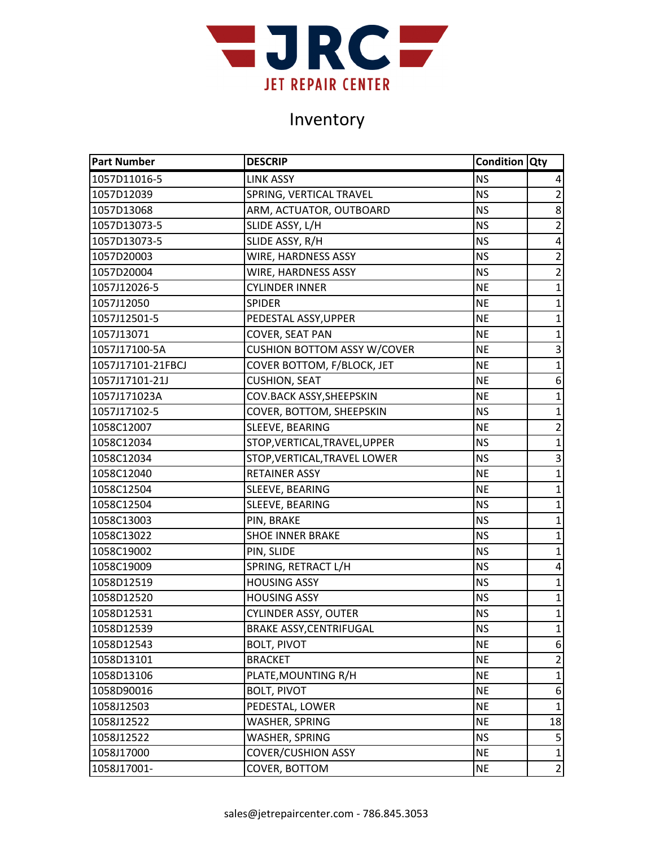

| <b>Part Number</b> | <b>DESCRIP</b>                     | <b>Condition Qty</b> |                |
|--------------------|------------------------------------|----------------------|----------------|
| 1057D11016-5       | <b>LINK ASSY</b>                   | <b>NS</b>            | 4              |
| 1057D12039         | SPRING, VERTICAL TRAVEL            | <b>NS</b>            | $\overline{2}$ |
| 1057D13068         | ARM, ACTUATOR, OUTBOARD            | <b>NS</b>            | 8              |
| 1057D13073-5       | SLIDE ASSY, L/H                    | <b>NS</b>            | $\overline{2}$ |
| 1057D13073-5       | SLIDE ASSY, R/H                    | <b>NS</b>            | 4              |
| 1057D20003         | WIRE, HARDNESS ASSY                | <b>NS</b>            | $\overline{2}$ |
| 1057D20004         | WIRE, HARDNESS ASSY                | <b>NS</b>            | $\overline{2}$ |
| 1057J12026-5       | <b>CYLINDER INNER</b>              | <b>NE</b>            | $\mathbf{1}$   |
| 1057J12050         | <b>SPIDER</b>                      | <b>NE</b>            | $\mathbf{1}$   |
| 1057J12501-5       | PEDESTAL ASSY, UPPER               | <b>NE</b>            | $\mathbf{1}$   |
| 1057J13071         | COVER, SEAT PAN                    | <b>NE</b>            | $\mathbf 1$    |
| 1057J17100-5A      | <b>CUSHION BOTTOM ASSY W/COVER</b> | <b>NE</b>            | $\mathsf 3$    |
| 1057J17101-21FBCJ  | COVER BOTTOM, F/BLOCK, JET         | <b>NE</b>            | $\mathbf{1}$   |
| 1057J17101-21J     | <b>CUSHION, SEAT</b>               | <b>NE</b>            | 6              |
| 1057J171023A       | COV.BACK ASSY, SHEEPSKIN           | <b>NE</b>            | $\mathbf{1}$   |
| 1057J17102-5       | COVER, BOTTOM, SHEEPSKIN           | <b>NS</b>            | $\mathbf 1$    |
| 1058C12007         | SLEEVE, BEARING                    | <b>NE</b>            | $\overline{2}$ |
| 1058C12034         | STOP, VERTICAL, TRAVEL, UPPER      | <b>NS</b>            | $\mathbf{1}$   |
| 1058C12034         | STOP, VERTICAL, TRAVEL LOWER       | <b>NS</b>            | 3              |
| 1058C12040         | RETAINER ASSY                      | <b>NE</b>            | $\mathbf{1}$   |
| 1058C12504         | SLEEVE, BEARING                    | <b>NE</b>            | $\mathbf{1}$   |
| 1058C12504         | SLEEVE, BEARING                    | <b>NS</b>            | $\mathbf{1}$   |
| 1058C13003         | PIN, BRAKE                         | <b>NS</b>            | $\mathbf{1}$   |
| 1058C13022         | <b>SHOE INNER BRAKE</b>            | <b>NS</b>            | $\mathbf{1}$   |
| 1058C19002         | PIN, SLIDE                         | <b>NS</b>            | $\mathbf{1}$   |
| 1058C19009         | SPRING, RETRACT L/H                | <b>NS</b>            | $\pmb{4}$      |
| 1058D12519         | <b>HOUSING ASSY</b>                | <b>NS</b>            | $\mathbf{1}$   |
| 1058D12520         | <b>HOUSING ASSY</b>                | <b>NS</b>            | $\mathbf{1}$   |
| 1058D12531         | <b>CYLINDER ASSY, OUTER</b>        | <b>NS</b>            | $\mathbf{1}$   |
| 1058D12539         | <b>BRAKE ASSY, CENTRIFUGAL</b>     | <b>NS</b>            | $\mathbf{1}$   |
| 1058D12543         | <b>BOLT, PIVOT</b>                 | <b>NE</b>            | 6              |
| 1058D13101         | <b>BRACKET</b>                     | <b>NE</b>            | $\overline{2}$ |
| 1058D13106         | PLATE, MOUNTING R/H                | <b>NE</b>            | 1              |
| 1058D90016         | <b>BOLT, PIVOT</b>                 | <b>NE</b>            | 6              |
| 1058J12503         | PEDESTAL, LOWER                    | <b>NE</b>            | $\mathbf{1}$   |
| 1058J12522         | WASHER, SPRING                     | <b>NE</b>            | 18             |
| 1058J12522         | <b>WASHER, SPRING</b>              | <b>NS</b>            | 5              |
| 1058J17000         | <b>COVER/CUSHION ASSY</b>          | <b>NE</b>            | $\mathbf{1}$   |
| 1058J17001-        | COVER, BOTTOM                      | <b>NE</b>            | $\overline{2}$ |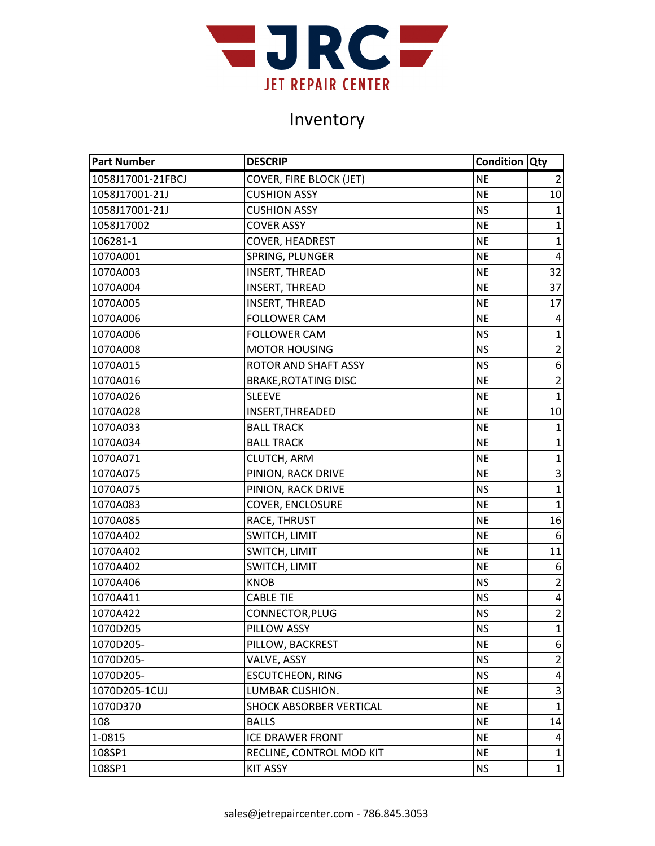

| <b>Part Number</b> | <b>DESCRIP</b>                 | <b>Condition Qty</b> |                |
|--------------------|--------------------------------|----------------------|----------------|
| 1058J17001-21FBCJ  | <b>COVER, FIRE BLOCK (JET)</b> | <b>NE</b>            | $\overline{2}$ |
| 1058J17001-21J     | <b>CUSHION ASSY</b>            | <b>NE</b>            | 10             |
| 1058J17001-21J     | <b>CUSHION ASSY</b>            | <b>NS</b>            | $\mathbf{1}$   |
| 1058J17002         | <b>COVER ASSY</b>              | <b>NE</b>            | $\mathbf{1}$   |
| 106281-1           | <b>COVER, HEADREST</b>         | <b>NE</b>            | $\mathbf{1}$   |
| 1070A001           | SPRING, PLUNGER                | <b>NE</b>            | 4              |
| 1070A003           | <b>INSERT, THREAD</b>          | <b>NE</b>            | 32             |
| 1070A004           | <b>INSERT, THREAD</b>          | <b>NE</b>            | 37             |
| 1070A005           | <b>INSERT, THREAD</b>          | <b>NE</b>            | 17             |
| 1070A006           | <b>FOLLOWER CAM</b>            | <b>NE</b>            | 4              |
| 1070A006           | <b>FOLLOWER CAM</b>            | <b>NS</b>            | $\mathbf{1}$   |
| 1070A008           | <b>MOTOR HOUSING</b>           | <b>NS</b>            | $\overline{2}$ |
| 1070A015           | ROTOR AND SHAFT ASSY           | <b>NS</b>            | 6              |
| 1070A016           | <b>BRAKE, ROTATING DISC</b>    | <b>NE</b>            | $\overline{2}$ |
| 1070A026           | <b>SLEEVE</b>                  | <b>NE</b>            | $\mathbf{1}$   |
| 1070A028           | INSERT, THREADED               | <b>NE</b>            | 10             |
| 1070A033           | <b>BALL TRACK</b>              | <b>NE</b>            | $\mathbf{1}$   |
| 1070A034           | <b>BALL TRACK</b>              | <b>NE</b>            | $\mathbf 1$    |
| 1070A071           | CLUTCH, ARM                    | <b>NE</b>            | $\mathbf 1$    |
| 1070A075           | PINION, RACK DRIVE             | <b>NE</b>            | 3              |
| 1070A075           | PINION, RACK DRIVE             | <b>NS</b>            | $\mathbf{1}$   |
| 1070A083           | <b>COVER, ENCLOSURE</b>        | <b>NE</b>            | $\mathbf{1}$   |
| 1070A085           | RACE, THRUST                   | <b>NE</b>            | 16             |
| 1070A402           | SWITCH, LIMIT                  | <b>NE</b>            | 6              |
| 1070A402           | SWITCH, LIMIT                  | <b>NE</b>            | 11             |
| 1070A402           | SWITCH, LIMIT                  | <b>NE</b>            | 6              |
| 1070A406           | <b>KNOB</b>                    | <b>NS</b>            | $\overline{2}$ |
| 1070A411           | <b>CABLE TIE</b>               | <b>NS</b>            | 4              |
| 1070A422           | CONNECTOR, PLUG                | <b>NS</b>            | $\overline{2}$ |
| 1070D205           | <b>PILLOW ASSY</b>             | <b>NS</b>            | $\mathbf{1}$   |
| 1070D205-          | PILLOW, BACKREST               | <b>NE</b>            | 6              |
| 1070D205-          | VALVE, ASSY                    | <b>NS</b>            | $\overline{2}$ |
| 1070D205-          | <b>ESCUTCHEON, RING</b>        | <b>NS</b>            | 4              |
| 1070D205-1CUJ      | LUMBAR CUSHION.                | <b>NE</b>            | 3              |
| 1070D370           | SHOCK ABSORBER VERTICAL        | <b>NE</b>            | $\mathbf 1$    |
| 108                | <b>BALLS</b>                   | <b>NE</b>            | 14             |
| 1-0815             | <b>ICE DRAWER FRONT</b>        | <b>NE</b>            | 4              |
| 108SP1             | RECLINE, CONTROL MOD KIT       | <b>NE</b>            | $\mathbf{1}$   |
| 108SP1             | <b>KIT ASSY</b>                | <b>NS</b>            | $\mathbf{1}$   |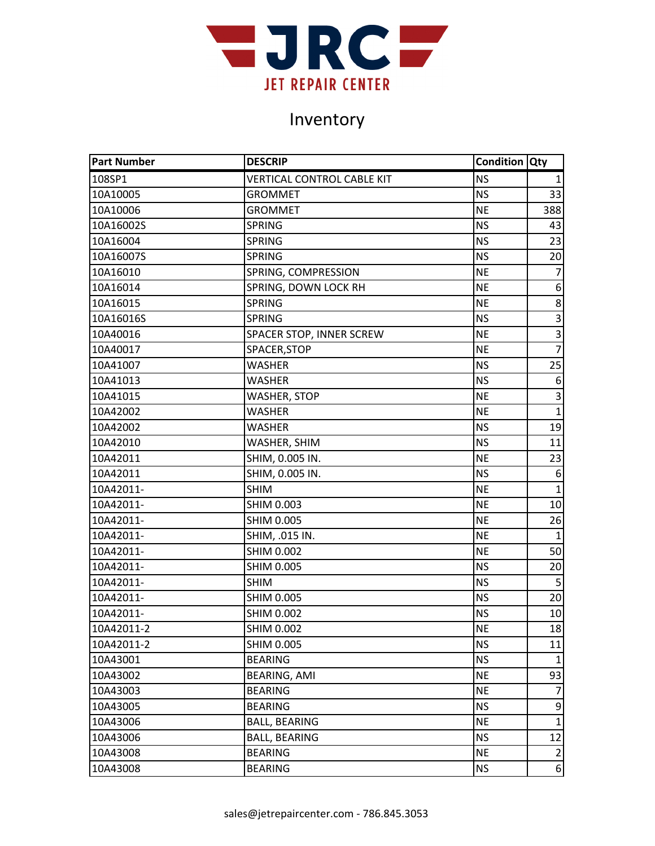

| <b>Part Number</b> | <b>DESCRIP</b>                    | <b>Condition Qty</b> |                |
|--------------------|-----------------------------------|----------------------|----------------|
| 108SP1             | <b>VERTICAL CONTROL CABLE KIT</b> | <b>NS</b>            | 1              |
| 10A10005           | <b>GROMMET</b>                    | <b>NS</b>            | 33             |
| 10A10006           | <b>GROMMET</b>                    | <b>NE</b>            | 388            |
| 10A16002S          | <b>SPRING</b>                     | <b>NS</b>            | 43             |
| 10A16004           | <b>SPRING</b>                     | <b>NS</b>            | 23             |
| 10A16007S          | <b>SPRING</b>                     | <b>NS</b>            | 20             |
| 10A16010           | SPRING, COMPRESSION               | <b>NE</b>            | $\overline{7}$ |
| 10A16014           | SPRING, DOWN LOCK RH              | <b>NE</b>            | 6              |
| 10A16015           | <b>SPRING</b>                     | <b>NE</b>            | 8              |
| 10A16016S          | <b>SPRING</b>                     | <b>NS</b>            | $\overline{3}$ |
| 10A40016           | SPACER STOP, INNER SCREW          | <b>NE</b>            | 3              |
| 10A40017           | SPACER, STOP                      | <b>NE</b>            | $\overline{7}$ |
| 10A41007           | <b>WASHER</b>                     | <b>NS</b>            | 25             |
| 10A41013           | <b>WASHER</b>                     | <b>NS</b>            | 6              |
| 10A41015           | WASHER, STOP                      | <b>NE</b>            | 3              |
| 10A42002           | <b>WASHER</b>                     | <b>NE</b>            | $\overline{1}$ |
| 10A42002           | <b>WASHER</b>                     | <b>NS</b>            | 19             |
| 10A42010           | WASHER, SHIM                      | <b>NS</b>            | 11             |
| 10A42011           | SHIM, 0.005 IN.                   | <b>NE</b>            | 23             |
| 10A42011           | SHIM, 0.005 IN.                   | <b>NS</b>            | 6              |
| 10A42011-          | <b>SHIM</b>                       | <b>NE</b>            | $\mathbf{1}$   |
| 10A42011-          | <b>SHIM 0.003</b>                 | <b>NE</b>            | 10             |
| 10A42011-          | <b>SHIM 0.005</b>                 | <b>NE</b>            | 26             |
| 10A42011-          | SHIM, .015 IN.                    | <b>NE</b>            | $\mathbf{1}$   |
| 10A42011-          | <b>SHIM 0.002</b>                 | <b>NE</b>            | 50             |
| 10A42011-          | <b>SHIM 0.005</b>                 | <b>NS</b>            | 20             |
| 10A42011-          | <b>SHIM</b>                       | <b>NS</b>            | 5              |
| 10A42011-          | <b>SHIM 0.005</b>                 | <b>NS</b>            | 20             |
| 10A42011-          | <b>SHIM 0.002</b>                 | <b>NS</b>            | 10             |
| 10A42011-2         | <b>SHIM 0.002</b>                 | <b>NE</b>            | 18             |
| 10A42011-2         | <b>SHIM 0.005</b>                 | <b>NS</b>            | 11             |
| 10A43001           | <b>BEARING</b>                    | <b>NS</b>            | $\mathbf{1}$   |
| 10A43002           | BEARING, AMI                      | <b>NE</b>            | 93             |
| 10A43003           | <b>BEARING</b>                    | <b>NE</b>            | $\overline{7}$ |
| 10A43005           | <b>BEARING</b>                    | <b>NS</b>            | 9              |
| 10A43006           | <b>BALL, BEARING</b>              | <b>NE</b>            | $\mathbf{1}$   |
| 10A43006           | <b>BALL, BEARING</b>              | <b>NS</b>            | 12             |
| 10A43008           | <b>BEARING</b>                    | <b>NE</b>            | $\overline{2}$ |
| 10A43008           | <b>BEARING</b>                    | <b>NS</b>            | 6              |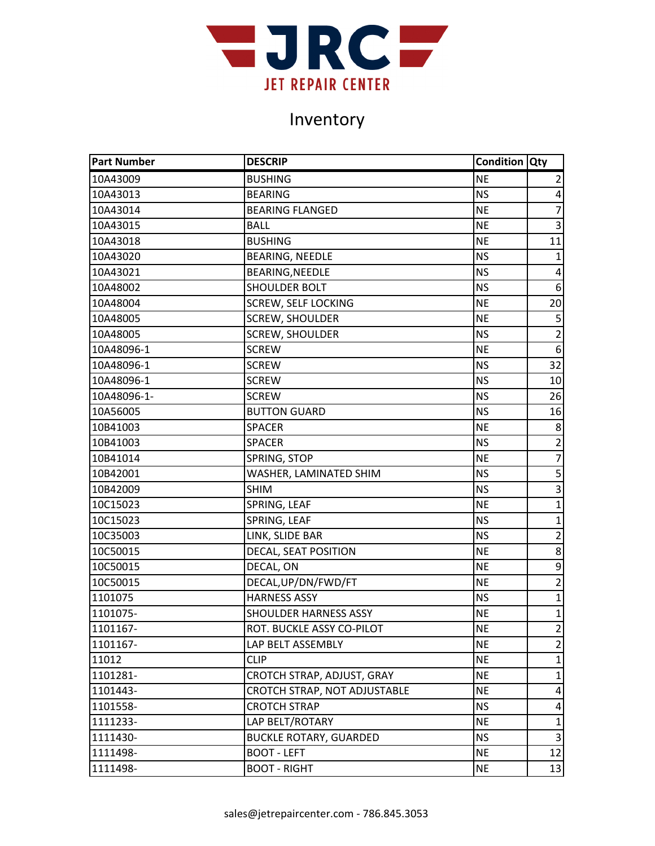

| <b>Part Number</b> | <b>DESCRIP</b>                | <b>Condition Qty</b> |                         |
|--------------------|-------------------------------|----------------------|-------------------------|
| 10A43009           | <b>BUSHING</b>                | <b>NE</b>            | 2                       |
| 10A43013           | <b>BEARING</b>                | <b>NS</b>            | 4                       |
| 10A43014           | <b>BEARING FLANGED</b>        | <b>NE</b>            | $\overline{7}$          |
| 10A43015           | <b>BALL</b>                   | <b>NE</b>            | 3                       |
| 10A43018           | <b>BUSHING</b>                | <b>NE</b>            | 11                      |
| 10A43020           | <b>BEARING, NEEDLE</b>        | <b>NS</b>            | $\mathbf{1}$            |
| 10A43021           | BEARING, NEEDLE               | <b>NS</b>            | 4                       |
| 10A48002           | <b>SHOULDER BOLT</b>          | <b>NS</b>            | $6 \overline{6}$        |
| 10A48004           | <b>SCREW, SELF LOCKING</b>    | <b>NE</b>            | 20                      |
| 10A48005           | <b>SCREW, SHOULDER</b>        | <b>NE</b>            | 5                       |
| 10A48005           | <b>SCREW, SHOULDER</b>        | <b>NS</b>            | $\overline{2}$          |
| 10A48096-1         | <b>SCREW</b>                  | <b>NE</b>            | 6                       |
| 10A48096-1         | <b>SCREW</b>                  | <b>NS</b>            | 32                      |
| 10A48096-1         | <b>SCREW</b>                  | <b>NS</b>            | 10                      |
| 10A48096-1-        | <b>SCREW</b>                  | <b>NS</b>            | 26                      |
| 10A56005           | <b>BUTTON GUARD</b>           | <b>NS</b>            | 16                      |
| 10B41003           | <b>SPACER</b>                 | <b>NE</b>            | 8                       |
| 10B41003           | <b>SPACER</b>                 | <b>NS</b>            | $\overline{2}$          |
| 10B41014           | SPRING, STOP                  | <b>NE</b>            | $\overline{7}$          |
| 10B42001           | WASHER, LAMINATED SHIM        | <b>NS</b>            | 5                       |
| 10B42009           | <b>SHIM</b>                   | <b>NS</b>            | $\overline{3}$          |
| 10C15023           | SPRING, LEAF                  | <b>NE</b>            | $\mathbf 1$             |
| 10C15023           | SPRING, LEAF                  | <b>NS</b>            | $\mathbf{1}$            |
| 10C35003           | LINK, SLIDE BAR               | <b>NS</b>            | $\overline{2}$          |
| 10C50015           | DECAL, SEAT POSITION          | <b>NE</b>            | 8                       |
| 10C50015           | DECAL, ON                     | <b>NE</b>            | 9                       |
| 10C50015           | DECAL, UP/DN/FWD/FT           | <b>NE</b>            | $\overline{2}$          |
| 1101075            | <b>HARNESS ASSY</b>           | <b>NS</b>            | $\mathbf{1}$            |
| 1101075-           | <b>SHOULDER HARNESS ASSY</b>  | <b>NE</b>            | $\mathbf 1$             |
| 1101167-           | ROT. BUCKLE ASSY CO-PILOT     | <b>NE</b>            | $\overline{2}$          |
| 1101167-           | LAP BELT ASSEMBLY             | <b>NE</b>            | $\overline{2}$          |
| 11012              | <b>CLIP</b>                   | <b>NE</b>            | $\mathbf{1}$            |
| 1101281-           | CROTCH STRAP, ADJUST, GRAY    | <b>NE</b>            | 1                       |
| 1101443-           | CROTCH STRAP, NOT ADJUSTABLE  | <b>NE</b>            | 4                       |
| 1101558-           | <b>CROTCH STRAP</b>           | <b>NS</b>            | 4                       |
| 1111233-           | LAP BELT/ROTARY               | <b>NE</b>            | $\mathbf{1}$            |
| 1111430-           | <b>BUCKLE ROTARY, GUARDED</b> | <b>NS</b>            | $\overline{\mathbf{3}}$ |
| 1111498-           | <b>BOOT - LEFT</b>            | <b>NE</b>            | 12                      |
| 1111498-           | <b>BOOT - RIGHT</b>           | <b>NE</b>            | 13                      |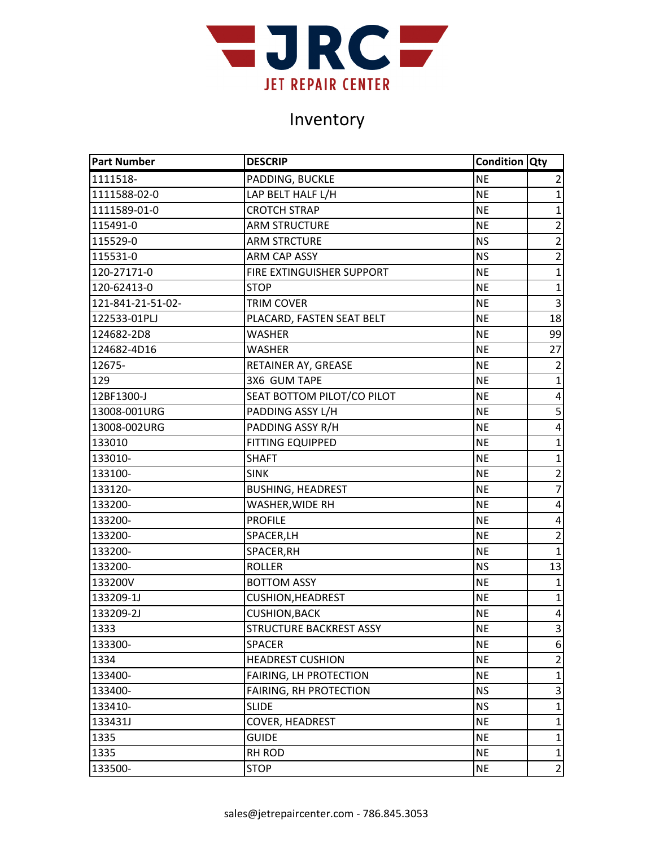

| <b>Part Number</b> | <b>DESCRIP</b>                | <b>Condition Qty</b> |                         |
|--------------------|-------------------------------|----------------------|-------------------------|
| 1111518-           | PADDING, BUCKLE               | <b>NE</b>            | $\overline{2}$          |
| 1111588-02-0       | LAP BELT HALF L/H             | <b>NE</b>            | $\mathbf{1}$            |
| 1111589-01-0       | <b>CROTCH STRAP</b>           | <b>NE</b>            | $\mathbf{1}$            |
| 115491-0           | <b>ARM STRUCTURE</b>          | <b>NE</b>            | $\overline{2}$          |
| 115529-0           | <b>ARM STRCTURE</b>           | <b>NS</b>            | $\overline{2}$          |
| 115531-0           | <b>ARM CAP ASSY</b>           | <b>NS</b>            | $\overline{2}$          |
| 120-27171-0        | FIRE EXTINGUISHER SUPPORT     | <b>NE</b>            | $\mathbf 1$             |
| 120-62413-0        | <b>STOP</b>                   | <b>NE</b>            | $\mathbf{1}$            |
| 121-841-21-51-02-  | TRIM COVER                    | <b>NE</b>            | 3                       |
| 122533-01PLJ       | PLACARD, FASTEN SEAT BELT     | <b>NE</b>            | 18                      |
| 124682-2D8         | <b>WASHER</b>                 | <b>NE</b>            | 99                      |
| 124682-4D16        | <b>WASHER</b>                 | <b>NE</b>            | 27                      |
| 12675-             | RETAINER AY, GREASE           | <b>NE</b>            | $\overline{2}$          |
| 129                | 3X6 GUM TAPE                  | <b>NE</b>            | $\mathbf{1}$            |
| 12BF1300-J         | SEAT BOTTOM PILOT/CO PILOT    | <b>NE</b>            | 4                       |
| 13008-001URG       | PADDING ASSY L/H              | <b>NE</b>            | 5                       |
| 13008-002URG       | PADDING ASSY R/H              | <b>NE</b>            | $\overline{\mathbf{4}}$ |
| 133010             | <b>FITTING EQUIPPED</b>       | <b>NE</b>            | $\mathbf{1}$            |
| 133010-            | <b>SHAFT</b>                  | <b>NE</b>            | $\mathbf{1}$            |
| 133100-            | <b>SINK</b>                   | <b>NE</b>            | $\overline{2}$          |
| 133120-            | <b>BUSHING, HEADREST</b>      | <b>NE</b>            | $\overline{7}$          |
| 133200-            | WASHER, WIDE RH               | <b>NE</b>            | 4                       |
| 133200-            | <b>PROFILE</b>                | <b>NE</b>            | 4                       |
| 133200-            | SPACER, LH                    | <b>NE</b>            | $\overline{2}$          |
| 133200-            | SPACER, RH                    | <b>NE</b>            | $\mathbf{1}$            |
| 133200-            | <b>ROLLER</b>                 | <b>NS</b>            | 13                      |
| 133200V            | <b>BOTTOM ASSY</b>            | <b>NE</b>            | $\mathbf{1}$            |
| 133209-1J          | <b>CUSHION, HEADREST</b>      | <b>NE</b>            | $\mathbf{1}$            |
| 133209-2J          | <b>CUSHION, BACK</b>          | <b>NE</b>            | 4                       |
| 1333               | STRUCTURE BACKREST ASSY       | <b>NE</b>            | კ                       |
| 133300-            | <b>SPACER</b>                 | <b>NE</b>            | 6                       |
| 1334               | <b>HEADREST CUSHION</b>       | <b>NE</b>            | $\overline{2}$          |
| 133400-            | FAIRING, LH PROTECTION        | <b>NE</b>            | $\mathbf{1}$            |
| 133400-            | <b>FAIRING, RH PROTECTION</b> | <b>NS</b>            | 3                       |
| 133410-            | <b>SLIDE</b>                  | <b>NS</b>            | $\mathbf{1}$            |
| 133431J            | <b>COVER, HEADREST</b>        | <b>NE</b>            | $\mathbf{1}$            |
| 1335               | <b>GUIDE</b>                  | <b>NE</b>            | $\mathbf{1}$            |
| 1335               | RH ROD                        | <b>NE</b>            | $\mathbf 1$             |
| 133500-            | <b>STOP</b>                   | <b>NE</b>            | $\overline{2}$          |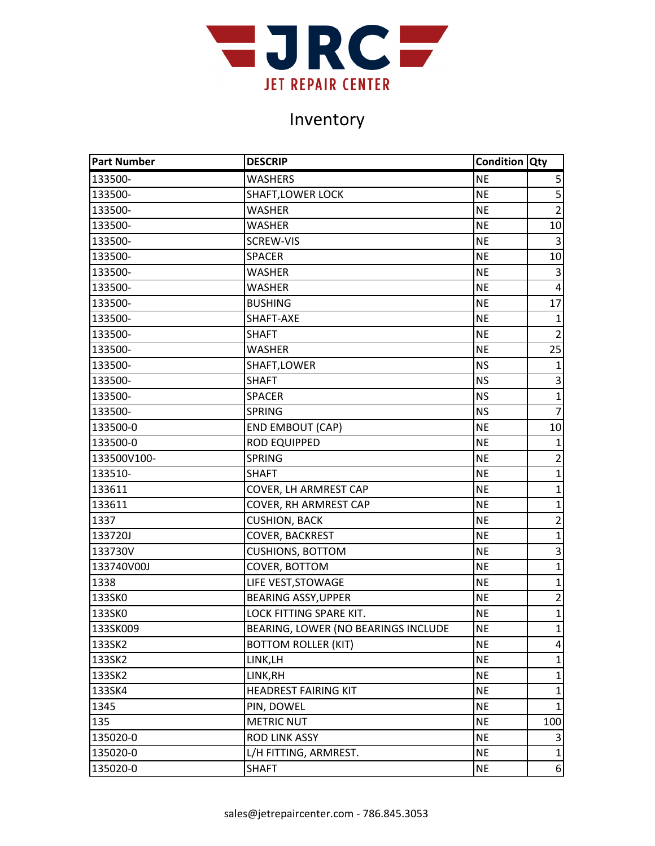

| <b>Part Number</b> | <b>DESCRIP</b>                      | <b>Condition Qty</b> |                         |
|--------------------|-------------------------------------|----------------------|-------------------------|
| 133500-            | <b>WASHERS</b>                      | <b>NE</b>            | 5                       |
| 133500-            | <b>SHAFT, LOWER LOCK</b>            | <b>NE</b>            |                         |
| 133500-            | WASHER                              | <b>NE</b>            | $\overline{2}$          |
| 133500-            | WASHER                              | <b>NE</b>            | 10                      |
| 133500-            | SCREW-VIS                           | <b>NE</b>            | $\mathbf{3}$            |
| 133500-            | <b>SPACER</b>                       | <b>NE</b>            | 10                      |
| 133500-            | WASHER                              | <b>NE</b>            | 3                       |
| 133500-            | <b>WASHER</b>                       | <b>NE</b>            | $\overline{\mathbf{4}}$ |
| 133500-            | <b>BUSHING</b>                      | <b>NE</b>            | 17                      |
| 133500-            | SHAFT-AXE                           | <b>NE</b>            | $\mathbf{1}$            |
| 133500-            | SHAFT                               | <b>NE</b>            | $\overline{2}$          |
| 133500-            | WASHER                              | <b>NE</b>            | 25                      |
| 133500-            | SHAFT, LOWER                        | <b>NS</b>            | $\mathbf{1}$            |
| 133500-            | <b>SHAFT</b>                        | <b>NS</b>            | 3                       |
| 133500-            | <b>SPACER</b>                       | <b>NS</b>            | $\overline{1}$          |
| 133500-            | <b>SPRING</b>                       | <b>NS</b>            | $\overline{7}$          |
| 133500-0           | <b>END EMBOUT (CAP)</b>             | <b>NE</b>            | 10                      |
| 133500-0           | <b>ROD EQUIPPED</b>                 | <b>NE</b>            | $\mathbf{1}$            |
| 133500V100-        | <b>SPRING</b>                       | <b>NE</b>            | $\overline{2}$          |
| 133510-            | <b>SHAFT</b>                        | <b>NE</b>            | $\mathbf{1}$            |
| 133611             | COVER, LH ARMREST CAP               | <b>NE</b>            | $\mathbf{1}$            |
| 133611             | COVER, RH ARMREST CAP               | <b>NE</b>            | $\mathbf{1}$            |
| 1337               | <b>CUSHION, BACK</b>                | <b>NE</b>            | $\overline{2}$          |
| 133720J            | COVER, BACKREST                     | <b>NE</b>            | $\overline{1}$          |
| 133730V            | <b>CUSHIONS, BOTTOM</b>             | <b>NE</b>            | 3                       |
| 133740V00J         | COVER, BOTTOM                       | <b>NE</b>            | $\mathbf{1}$            |
| 1338               | LIFE VEST, STOWAGE                  | <b>NE</b>            | $\mathbf 1$             |
| 133SK0             | <b>BEARING ASSY, UPPER</b>          | <b>NE</b>            | $\overline{2}$          |
| 133SK0             | LOCK FITTING SPARE KIT.             | <b>NE</b>            | $\mathbf 1$             |
| 133SK009           | BEARING, LOWER (NO BEARINGS INCLUDE | <b>NE</b>            | $\mathbf{1}$            |
| 133SK2             | <b>BOTTOM ROLLER (KIT)</b>          | <b>NE</b>            | 4                       |
| 133SK2             | LINK, LH                            | <b>NE</b>            | $\mathbf{1}$            |
| 133SK2             | LINK, RH                            | <b>NE</b>            | $\mathbf{1}$            |
| 133SK4             | <b>HEADREST FAIRING KIT</b>         | <b>NE</b>            | $\mathbf{1}$            |
| 1345               | PIN, DOWEL                          | <b>NE</b>            | $\mathbf{1}$            |
| 135                | <b>METRIC NUT</b>                   | <b>NE</b>            | 100                     |
| 135020-0           | <b>ROD LINK ASSY</b>                | <b>NE</b>            | 3                       |
| 135020-0           | L/H FITTING, ARMREST.               | <b>NE</b>            | $\mathbf{1}$            |
| 135020-0           | <b>SHAFT</b>                        | <b>NE</b>            | 6                       |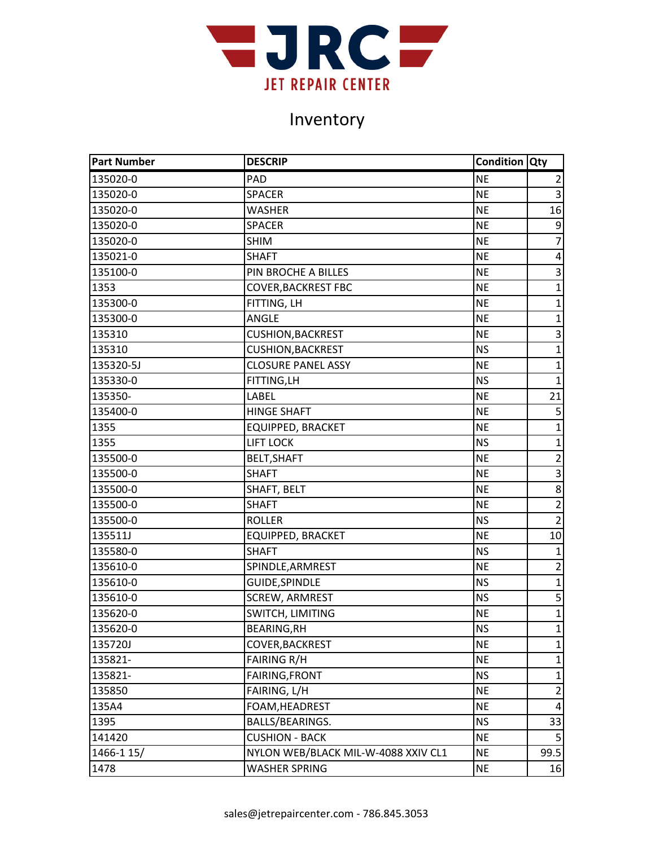

| <b>Part Number</b> | <b>DESCRIP</b>                      | <b>Condition Qty</b> |                         |
|--------------------|-------------------------------------|----------------------|-------------------------|
| 135020-0           | PAD                                 | <b>NE</b>            | $\overline{2}$          |
| 135020-0           | <b>SPACER</b>                       | <b>NE</b>            | $\overline{3}$          |
| 135020-0           | <b>WASHER</b>                       | <b>NE</b>            | 16                      |
| 135020-0           | <b>SPACER</b>                       | <b>NE</b>            | 9                       |
| 135020-0           | <b>SHIM</b>                         | <b>NE</b>            | $\overline{7}$          |
| 135021-0           | <b>SHAFT</b>                        | <b>NE</b>            | 4                       |
| 135100-0           | PIN BROCHE A BILLES                 | <b>NE</b>            | $\overline{3}$          |
| 1353               | <b>COVER, BACKREST FBC</b>          | <b>NE</b>            | $\mathbf{1}$            |
| 135300-0           | FITTING, LH                         | <b>NE</b>            | $\mathbf{1}$            |
| 135300-0           | ANGLE                               | <b>NE</b>            | $\mathbf 1$             |
| 135310             | <b>CUSHION, BACKREST</b>            | <b>NE</b>            | 3                       |
| 135310             | <b>CUSHION, BACKREST</b>            | <b>NS</b>            | $\mathbf{1}$            |
| 135320-5J          | <b>CLOSURE PANEL ASSY</b>           | <b>NE</b>            | $\mathbf{1}$            |
| 135330-0           | FITTING, LH                         | <b>NS</b>            | $\mathbf{1}$            |
| 135350-            | LABEL                               | <b>NE</b>            | 21                      |
| 135400-0           | <b>HINGE SHAFT</b>                  | <b>NE</b>            | 5                       |
| 1355               | <b>EQUIPPED, BRACKET</b>            | <b>NE</b>            | $\mathbf{1}$            |
| 1355               | <b>LIFT LOCK</b>                    | <b>NS</b>            | $\mathbf{1}$            |
| 135500-0           | <b>BELT, SHAFT</b>                  | <b>NE</b>            | $\overline{2}$          |
| 135500-0           | <b>SHAFT</b>                        | <b>NE</b>            | $\overline{3}$          |
| 135500-0           | SHAFT, BELT                         | <b>NE</b>            | 8                       |
| 135500-0           | <b>SHAFT</b>                        | <b>NE</b>            | $\overline{2}$          |
| 135500-0           | <b>ROLLER</b>                       | <b>NS</b>            | $\overline{2}$          |
| 135511J            | <b>EQUIPPED, BRACKET</b>            | <b>NE</b>            | 10                      |
| 135580-0           | <b>SHAFT</b>                        | <b>NS</b>            | $\mathbf{1}$            |
| 135610-0           | SPINDLE, ARMREST                    | <b>NE</b>            | $\overline{2}$          |
| 135610-0           | <b>GUIDE, SPINDLE</b>               | <b>NS</b>            | $\mathbf{1}$            |
| 135610-0           | <b>SCREW, ARMREST</b>               | <b>NS</b>            | $\overline{\mathbf{5}}$ |
| 135620-0           | SWITCH, LIMITING                    | <b>NE</b>            | $\overline{1}$          |
| 135620-0           | <b>BEARING, RH</b>                  | <b>NS</b>            | $\mathbf{1}$            |
| 135720J            | COVER, BACKREST                     | <b>NE</b>            | $\mathbf{1}$            |
| 135821-            | <b>FAIRING R/H</b>                  | <b>NE</b>            | $\mathbf{1}$            |
| 135821-            | FAIRING, FRONT                      | <b>NS</b>            | 1                       |
| 135850             | FAIRING, L/H                        | <b>NE</b>            | $\overline{2}$          |
| 135A4              | FOAM, HEADREST                      | <b>NE</b>            | 4                       |
| 1395               | BALLS/BEARINGS.                     | <b>NS</b>            | 33                      |
| 141420             | <b>CUSHION - BACK</b>               | <b>NE</b>            | 5                       |
| 1466-1 15/         | NYLON WEB/BLACK MIL-W-4088 XXIV CL1 | <b>NE</b>            | 99.5                    |
| 1478               | <b>WASHER SPRING</b>                | <b>NE</b>            | 16                      |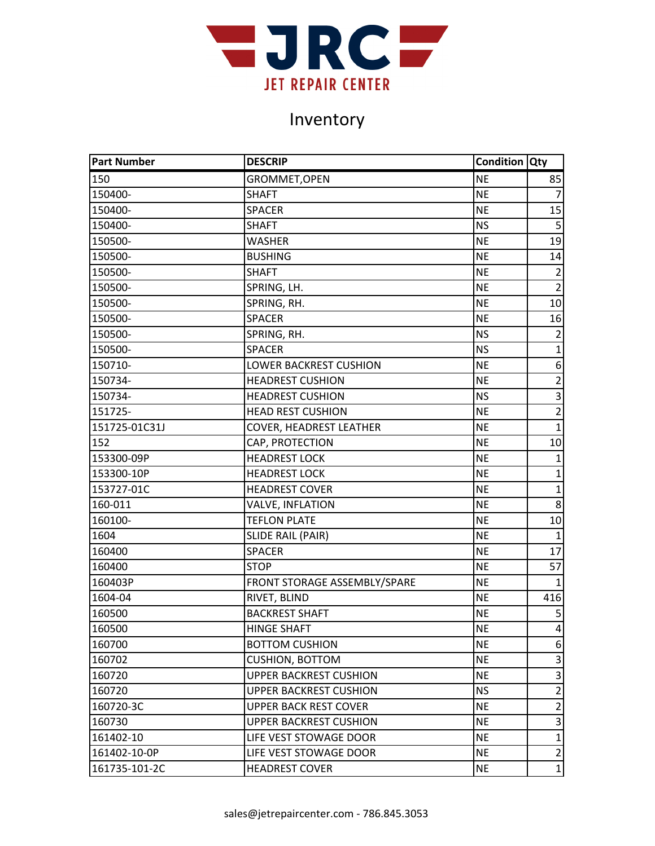

| <b>Part Number</b> | <b>DESCRIP</b>                 | <b>Condition Qty</b> |                         |
|--------------------|--------------------------------|----------------------|-------------------------|
| 150                | GROMMET, OPEN                  | <b>NE</b>            | 85                      |
| 150400-            | <b>SHAFT</b>                   | <b>NE</b>            | $\overline{7}$          |
| 150400-            | <b>SPACER</b>                  | <b>NE</b>            | 15                      |
| 150400-            | <b>SHAFT</b>                   | <b>NS</b>            | 5                       |
| 150500-            | <b>WASHER</b>                  | <b>NE</b>            | 19                      |
| 150500-            | <b>BUSHING</b>                 | <b>NE</b>            | 14                      |
| 150500-            | <b>SHAFT</b>                   | <b>NE</b>            | $\overline{2}$          |
| 150500-            | SPRING, LH.                    | <b>NE</b>            | $\overline{2}$          |
| 150500-            | SPRING, RH.                    | <b>NE</b>            | 10                      |
| 150500-            | <b>SPACER</b>                  | <b>NE</b>            | 16                      |
| 150500-            | SPRING, RH.                    | <b>NS</b>            | $\overline{2}$          |
| 150500-            | <b>SPACER</b>                  | <b>NS</b>            | $\mathbf{1}$            |
| 150710-            | <b>LOWER BACKREST CUSHION</b>  | <b>NE</b>            | $\boldsymbol{6}$        |
| 150734-            | <b>HEADREST CUSHION</b>        | <b>NE</b>            | $\overline{2}$          |
| 150734-            | <b>HEADREST CUSHION</b>        | <b>NS</b>            | $\overline{\mathbf{3}}$ |
| 151725-            | <b>HEAD REST CUSHION</b>       | <b>NE</b>            | $\overline{2}$          |
| 151725-01C31J      | <b>COVER, HEADREST LEATHER</b> | <b>NE</b>            | $\mathbf{1}$            |
| 152                | CAP, PROTECTION                | <b>NE</b>            | 10                      |
| 153300-09P         | <b>HEADREST LOCK</b>           | <b>NE</b>            | $\mathbf{1}$            |
| 153300-10P         | <b>HEADREST LOCK</b>           | <b>NE</b>            | $\mathbf{1}$            |
| 153727-01C         | <b>HEADREST COVER</b>          | <b>NE</b>            | $\mathbf{1}$            |
| 160-011            | <b>VALVE, INFLATION</b>        | <b>NE</b>            | 8                       |
| 160100-            | <b>TEFLON PLATE</b>            | <b>NE</b>            | 10                      |
| 1604               | <b>SLIDE RAIL (PAIR)</b>       | <b>NE</b>            | $\mathbf{1}$            |
| 160400             | <b>SPACER</b>                  | <b>NE</b>            | 17                      |
| 160400             | <b>STOP</b>                    | <b>NE</b>            | 57                      |
| 160403P            | FRONT STORAGE ASSEMBLY/SPARE   | <b>NE</b>            | $\mathbf{1}$            |
| 1604-04            | RIVET, BLIND                   | <b>NE</b>            | 416                     |
| 160500             | <b>BACKREST SHAFT</b>          | <b>NE</b>            | 5                       |
| 160500             | <b>HINGE SHAFT</b>             | <b>NE</b>            | $\vert$                 |
| 160700             | <b>BOTTOM CUSHION</b>          | <b>NE</b>            | 6                       |
| 160702             | <b>CUSHION, BOTTOM</b>         | <b>NE</b>            | 3                       |
| 160720             | <b>UPPER BACKREST CUSHION</b>  | <b>NE</b>            | 3                       |
| 160720             | <b>UPPER BACKREST CUSHION</b>  | <b>NS</b>            | $\overline{2}$          |
| 160720-3C          | <b>UPPER BACK REST COVER</b>   | <b>NE</b>            | $\overline{2}$          |
| 160730             | <b>UPPER BACKREST CUSHION</b>  | <b>NE</b>            | 3                       |
| 161402-10          | LIFE VEST STOWAGE DOOR         | <b>NE</b>            | $\mathbf{1}$            |
| 161402-10-0P       | LIFE VEST STOWAGE DOOR         | <b>NE</b>            | $\overline{2}$          |
| 161735-101-2C      | <b>HEADREST COVER</b>          | <b>NE</b>            | $\mathbf{1}$            |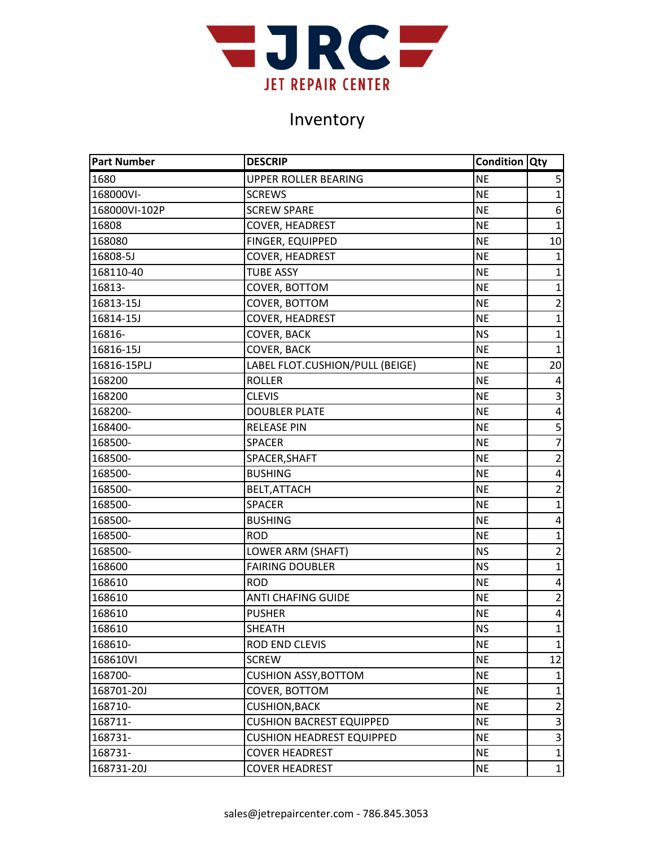

| <b>Part Number</b> | <b>DESCRIP</b>                   | <b>Condition Qty</b> |                |
|--------------------|----------------------------------|----------------------|----------------|
| 1680               | <b>UPPER ROLLER BEARING</b>      | <b>NE</b>            | 5              |
| 168000VI-          | <b>SCREWS</b>                    | NE                   | $\overline{1}$ |
| 168000VI-102P      | <b>SCREW SPARE</b>               | <b>NE</b>            | 6              |
| 16808              | <b>COVER, HEADREST</b>           | <b>NE</b>            | $\mathbf{1}$   |
| 168080             | <b>FINGER, EQUIPPED</b>          | <b>NE</b>            | 10             |
| 16808-5J           | <b>COVER, HEADREST</b>           | <b>NE</b>            | $\mathbf{1}$   |
| 168110-40          | <b>TUBE ASSY</b>                 | NE                   | $\overline{1}$ |
| 16813-             | COVER, BOTTOM                    | NE                   | $\mathbf{1}$   |
| 16813-15J          | COVER, BOTTOM                    | NE                   | $\overline{2}$ |
| 16814-15J          | <b>COVER, HEADREST</b>           | <b>NE</b>            | $\mathbf{1}$   |
| 16816-             | <b>COVER, BACK</b>               | <b>NS</b>            | $\mathbf 1$    |
| 16816-15J          | COVER, BACK                      | NE                   | $\mathbf{1}$   |
| 16816-15PLJ        | LABEL FLOT.CUSHION/PULL (BEIGE)  | NE                   | 20             |
| 168200             | <b>ROLLER</b>                    | <b>NE</b>            | 4              |
| 168200             | <b>CLEVIS</b>                    | <b>NE</b>            | $\overline{3}$ |
| 168200-            | <b>DOUBLER PLATE</b>             | <b>NE</b>            | $\pmb{4}$      |
| 168400-            | <b>RELEASE PIN</b>               | <b>NE</b>            | 5              |
| 168500-            | <b>SPACER</b>                    | <b>NE</b>            | $\overline{7}$ |
| 168500-            | SPACER, SHAFT                    | NE                   | $\mathbf 2$    |
| 168500-            | <b>BUSHING</b>                   | NE                   | $\overline{4}$ |
| 168500-            | BELT, ATTACH                     | NE                   | $\overline{2}$ |
| 168500-            | <b>SPACER</b>                    | <b>NE</b>            | $\mathbf{1}$   |
| 168500-            | <b>BUSHING</b>                   | <b>NE</b>            | 4              |
| 168500-            | <b>ROD</b>                       | <b>NE</b>            | $\mathbf{1}$   |
| 168500-            | LOWER ARM (SHAFT)                | <b>NS</b>            | $\overline{2}$ |
| 168600             | <b>FAIRING DOUBLER</b>           | <b>NS</b>            | $\overline{1}$ |
| 168610             | <b>ROD</b>                       | <b>NE</b>            | 4              |
| 168610             | ANTI CHAFING GUIDE               | NE                   | $\overline{2}$ |
| 168610             | <b>PUSHER</b>                    | <b>NE</b>            | $\pmb{4}$      |
| 168610             | <b>SHEATH</b>                    | <b>NS</b>            | $\mathbf{1}$   |
| 168610-            | ROD END CLEVIS                   | <b>NE</b>            | $\mathbf{1}$   |
| 168610VI           | <b>SCREW</b>                     | <b>NE</b>            | 12             |
| 168700-            | <b>CUSHION ASSY, BOTTOM</b>      | <b>NE</b>            |                |
| 168701-20J         | COVER, BOTTOM                    | <b>NE</b>            | $\mathbf{1}$   |
| 168710-            | <b>CUSHION, BACK</b>             | <b>NE</b>            | $\overline{2}$ |
| 168711-            | <b>CUSHION BACREST EQUIPPED</b>  | <b>NE</b>            | 3              |
| 168731-            | <b>CUSHION HEADREST EQUIPPED</b> | <b>NE</b>            | 3              |
| 168731-            | <b>COVER HEADREST</b>            | <b>NE</b>            | $\overline{1}$ |
| 168731-20J         | <b>COVER HEADREST</b>            | <b>NE</b>            | $\mathbf{1}$   |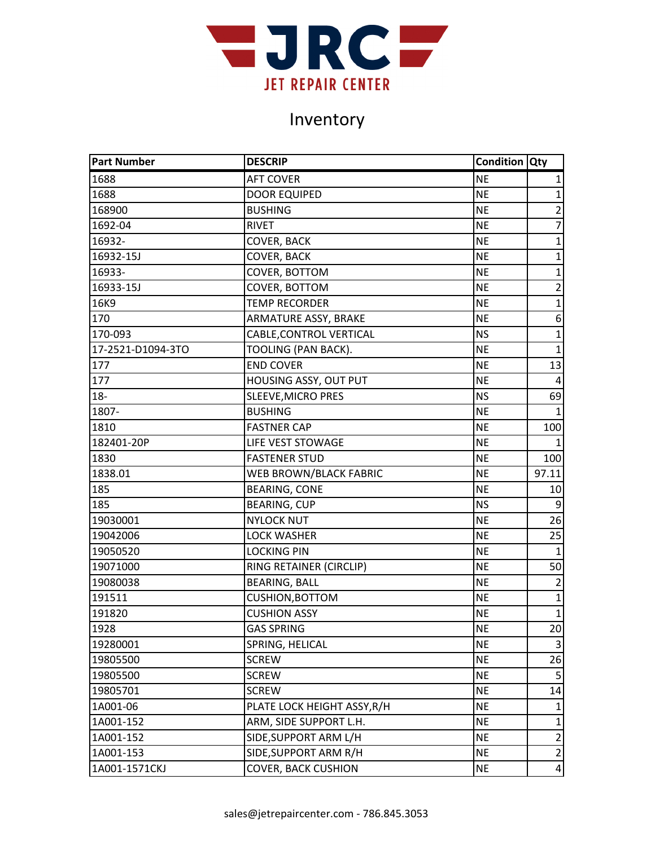

| <b>Part Number</b> | <b>DESCRIP</b>              | <b>Condition Qty</b> |                         |
|--------------------|-----------------------------|----------------------|-------------------------|
| 1688               | <b>AFT COVER</b>            | <b>NE</b>            | 1                       |
| 1688               | <b>DOOR EQUIPED</b>         | <b>NE</b>            | $\overline{1}$          |
| 168900             | <b>BUSHING</b>              | <b>NE</b>            | $\overline{2}$          |
| 1692-04            | <b>RIVET</b>                | <b>NE</b>            | $\overline{7}$          |
| 16932-             | <b>COVER, BACK</b>          | <b>NE</b>            | $\mathbf{1}$            |
| 16932-15J          | COVER, BACK                 | <b>NE</b>            | $\mathbf{1}$            |
| 16933-             | COVER, BOTTOM               | <b>NE</b>            | $\mathbf{1}$            |
| 16933-15J          | COVER, BOTTOM               | <b>NE</b>            | $\overline{2}$          |
| 16K9               | <b>TEMP RECORDER</b>        | <b>NE</b>            | $\mathbf{1}$            |
| 170                | ARMATURE ASSY, BRAKE        | <b>NE</b>            | 6                       |
| 170-093            | CABLE, CONTROL VERTICAL     | <b>NS</b>            | $\mathbf{1}$            |
| 17-2521-D1094-3TO  | TOOLING (PAN BACK).         | <b>NE</b>            | $\mathbf{1}$            |
| 177                | <b>END COVER</b>            | <b>NE</b>            | 13                      |
| 177                | HOUSING ASSY, OUT PUT       | <b>NE</b>            | 4                       |
| $18-$              | <b>SLEEVE, MICRO PRES</b>   | <b>NS</b>            | 69                      |
| 1807-              | <b>BUSHING</b>              | <b>NE</b>            | $\mathbf{1}$            |
| 1810               | <b>FASTNER CAP</b>          | <b>NE</b>            | 100                     |
| 182401-20P         | LIFE VEST STOWAGE           | <b>NE</b>            | 1                       |
| 1830               | <b>FASTENER STUD</b>        | <b>NE</b>            | 100                     |
| 1838.01            | WEB BROWN/BLACK FABRIC      | <b>NE</b>            | 97.11                   |
| 185                | <b>BEARING, CONE</b>        | <b>NE</b>            | 10                      |
| 185                | <b>BEARING, CUP</b>         | <b>NS</b>            | $9\,$                   |
| 19030001           | <b>NYLOCK NUT</b>           | <b>NE</b>            | 26                      |
| 19042006           | <b>LOCK WASHER</b>          | <b>NE</b>            | 25                      |
| 19050520           | <b>LOCKING PIN</b>          | <b>NE</b>            | $\mathbf{1}$            |
| 19071000           | RING RETAINER (CIRCLIP)     | <b>NE</b>            | 50                      |
| 19080038           | <b>BEARING, BALL</b>        | <b>NE</b>            | $\overline{2}$          |
| 191511             | <b>CUSHION, BOTTOM</b>      | <b>NE</b>            | $\mathbf{1}$            |
| 191820             | <b>CUSHION ASSY</b>         | <b>NE</b>            | $\mathbf 1$             |
| 1928               | <b>GAS SPRING</b>           | <b>NE</b>            | 20 <sup>1</sup>         |
| 19280001           | SPRING, HELICAL             | <b>NE</b>            | $\overline{\mathbf{3}}$ |
| 19805500           | <b>SCREW</b>                | <b>NE</b>            | 26                      |
| 19805500           | <b>SCREW</b>                | <b>NE</b>            | 5                       |
| 19805701           | <b>SCREW</b>                | <b>NE</b>            | 14                      |
| 1A001-06           | PLATE LOCK HEIGHT ASSY, R/H | <b>NE</b>            | $\mathbf{1}$            |
| 1A001-152          | ARM, SIDE SUPPORT L.H.      | <b>NE</b>            | 1                       |
| 1A001-152          | SIDE, SUPPORT ARM L/H       | <b>NE</b>            | $\overline{2}$          |
| 1A001-153          | SIDE, SUPPORT ARM R/H       | <b>NE</b>            | $\overline{2}$          |
| 1A001-1571CKJ      | <b>COVER, BACK CUSHION</b>  | <b>NE</b>            | $\overline{4}$          |